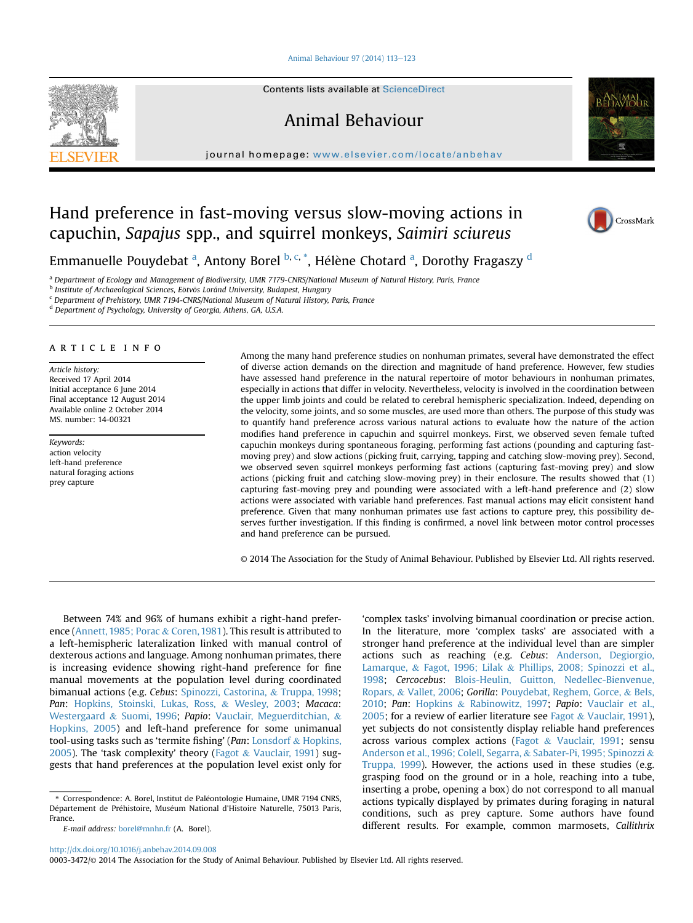## [Animal Behaviour 97 \(2014\) 113](http://dx.doi.org/10.1016/j.anbehav.2014.09.008)-[123](http://dx.doi.org/10.1016/j.anbehav.2014.09.008)



Contents lists available at ScienceDirect

Animal Behaviour

journal homepage: [www.elsevier.com/locate/anbehav](http://www.elsevier.com/locate/anbehav)



# Hand preference in fast-moving versus slow-moving actions in capuchin, Sapajus spp., and squirrel monkeys, Saimiri sciureus



Emmanuelle Pouydebat <sup>a</sup>, Antony Borel <sup>b, c, \*</sup>, Hélène Chotard <sup>a</sup>, Dorothy Fragaszy <sup>d</sup>

<sup>a</sup> Department of Ecology and Management of Biodiversity, UMR 7179-CNRS/National Museum of Natural History, Paris, France

**b Institute of Archaeological Sciences, Eotvos Loránd University, Budapest, Hungary** 

<sup>c</sup> Department of Prehistory, UMR 7194-CNRS/National Museum of Natural History, Paris, France

<sup>d</sup> Department of Psychology, University of Georgia, Athens, GA, U.S.A.

#### article info

Article history: Received 17 April 2014 Initial acceptance 6 June 2014 Final acceptance 12 August 2014 Available online 2 October 2014 MS. number: 14-00321

Keywords: action velocity left-hand preference natural foraging actions prey capture

Among the many hand preference studies on nonhuman primates, several have demonstrated the effect of diverse action demands on the direction and magnitude of hand preference. However, few studies have assessed hand preference in the natural repertoire of motor behaviours in nonhuman primates, especially in actions that differ in velocity. Nevertheless, velocity is involved in the coordination between the upper limb joints and could be related to cerebral hemispheric specialization. Indeed, depending on the velocity, some joints, and so some muscles, are used more than others. The purpose of this study was to quantify hand preference across various natural actions to evaluate how the nature of the action modifies hand preference in capuchin and squirrel monkeys. First, we observed seven female tufted capuchin monkeys during spontaneous foraging, performing fast actions (pounding and capturing fastmoving prey) and slow actions (picking fruit, carrying, tapping and catching slow-moving prey). Second, we observed seven squirrel monkeys performing fast actions (capturing fast-moving prey) and slow actions (picking fruit and catching slow-moving prey) in their enclosure. The results showed that (1) capturing fast-moving prey and pounding were associated with a left-hand preference and (2) slow actions were associated with variable hand preferences. Fast manual actions may elicit consistent hand preference. Given that many nonhuman primates use fast actions to capture prey, this possibility deserves further investigation. If this finding is confirmed, a novel link between motor control processes and hand preference can be pursued.

© 2014 The Association for the Study of Animal Behaviour. Published by Elsevier Ltd. All rights reserved.

Between 74% and 96% of humans exhibit a right-hand preference ([Annett, 1985; Porac](#page-8-0) & [Coren, 1981](#page-8-0)). This result is attributed to a left-hemispheric lateralization linked with manual control of dexterous actions and language. Among nonhuman primates, there is increasing evidence showing right-hand preference for fine manual movements at the population level during coordinated bimanual actions (e.g. Cebus: [Spinozzi, Castorina,](#page-10-0) & [Truppa, 1998;](#page-10-0) Pan: [Hopkins, Stoinski, Lukas, Ross,](#page-9-0) & [Wesley, 2003;](#page-9-0) Macaca: [Westergaard](#page-10-0) & [Suomi, 1996;](#page-10-0) Papio: [Vauclair, Meguerditchian,](#page-10-0) & [Hopkins, 2005\)](#page-10-0) and left-hand preference for some unimanual tool-using tasks such as 'termite fishing' (Pan: [Lonsdorf](#page-9-0) & [Hopkins,](#page-9-0) [2005\)](#page-9-0). The 'task complexity' theory [\(Fagot](#page-9-0) & [Vauclair, 1991](#page-9-0)) suggests that hand preferences at the population level exist only for

'complex tasks' involving bimanual coordination or precise action. In the literature, more 'complex tasks' are associated with a stronger hand preference at the individual level than are simpler actions such as reaching (e.g. Cebus: [Anderson, Degiorgio,](#page-8-0) [Lamarque,](#page-8-0) & [Fagot, 1996; Lilak](#page-8-0) & [Phillips, 2008; Spinozzi et al.,](#page-8-0) [1998;](#page-8-0) Cercocebus: [Blois-Heulin, Guitton, Nedellec-Bienvenue,](#page-8-0) [Ropars,](#page-8-0) & [Vallet, 2006;](#page-8-0) Gorilla: [Pouydebat, Reghem, Gorce,](#page-10-0) & [Bels,](#page-10-0) [2010;](#page-10-0) Pan: [Hopkins](#page-9-0) & [Rabinowitz, 1997;](#page-9-0) Papio: [Vauclair et al.,](#page-10-0) [2005;](#page-10-0) for a review of earlier literature see [Fagot](#page-9-0) & [Vauclair, 1991\)](#page-9-0), yet subjects do not consistently display reliable hand preferences across various complex actions [\(Fagot](#page-9-0) & [Vauclair, 1991;](#page-9-0) sensu [Anderson et al., 1996; Colell, Segarra,](#page-8-0) & [Sabater-Pi, 1995; Spinozzi](#page-8-0) & [Truppa, 1999](#page-8-0)). However, the actions used in these studies (e.g. grasping food on the ground or in a hole, reaching into a tube, inserting a probe, opening a box) do not correspond to all manual actions typically displayed by primates during foraging in natural conditions, such as prey capture. Some authors have found different results. For example, common marmosets, Callithrix

<http://dx.doi.org/10.1016/j.anbehav.2014.09.008>

<sup>\*</sup> Correspondence: A. Borel, Institut de Paleontologie Humaine, UMR 7194 CNRS, Département de Préhistoire, Muséum National d'Histoire Naturelle, 75013 Paris, France.

E-mail address: [borel@mnhn.fr](mailto:borel@mnhn.fr) (A. Borel).

<sup>0003-3472/</sup>© 2014 The Association for the Study of Animal Behaviour. Published by Elsevier Ltd. All rights reserved.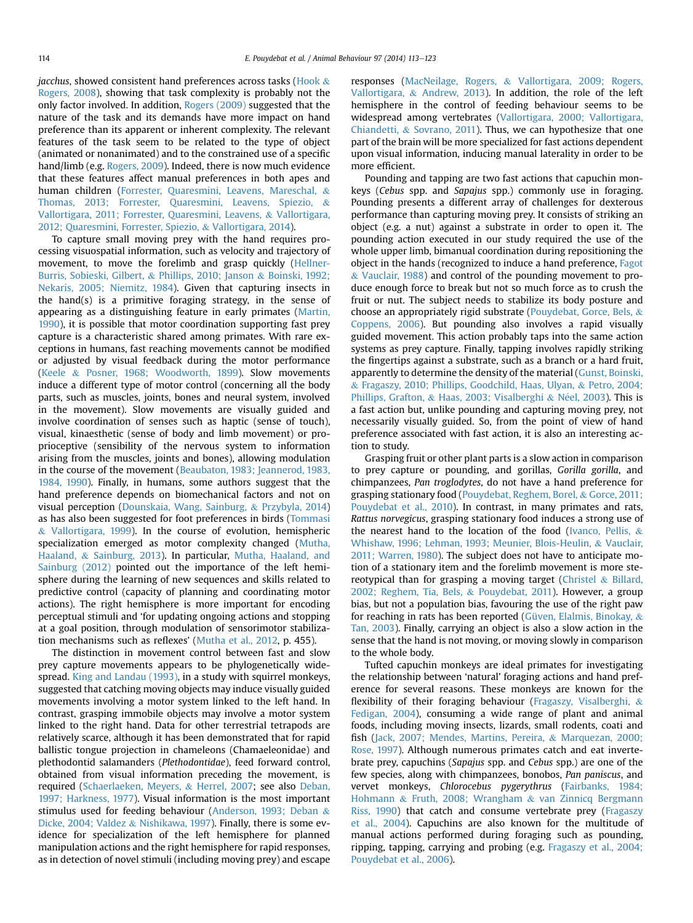*jacchus*, showed consistent hand preferences across tasks [\(Hook](#page-9-0)  $\&$ [Rogers, 2008\)](#page-9-0), showing that task complexity is probably not the only factor involved. In addition, [Rogers \(2009\)](#page-10-0) suggested that the nature of the task and its demands have more impact on hand preference than its apparent or inherent complexity. The relevant features of the task seem to be related to the type of object (animated or nonanimated) and to the constrained use of a specific hand/limb (e.g. [Rogers, 2009](#page-10-0)). Indeed, there is now much evidence that these features affect manual preferences in both apes and human children ([Forrester, Quaresmini, Leavens, Mareschal,](#page-9-0) & [Thomas, 2013; Forrester, Quaresmini, Leavens, Spiezio,](#page-9-0) & [Vallortigara, 2011; Forrester, Quaresmini, Leavens,](#page-9-0) & [Vallortigara,](#page-9-0) [2012; Quaresmini, Forrester, Spiezio,](#page-9-0) & [Vallortigara, 2014](#page-9-0)).

To capture small moving prey with the hand requires processing visuospatial information, such as velocity and trajectory of movement, to move the forelimb and grasp quickly ([Hellner-](#page-9-0)[Burris, Sobieski, Gilbert,](#page-9-0) & [Phillips, 2010; Janson](#page-9-0) & [Boinski, 1992;](#page-9-0) [Nekaris, 2005; Niemitz, 1984\)](#page-9-0). Given that capturing insects in the hand(s) is a primitive foraging strategy, in the sense of appearing as a distinguishing feature in early primates [\(Martin,](#page-9-0) [1990](#page-9-0)), it is possible that motor coordination supporting fast prey capture is a characteristic shared among primates. With rare exceptions in humans, fast reaching movements cannot be modified or adjusted by visual feedback during the motor performance ([Keele](#page-9-0) & [Posner, 1968; Woodworth, 1899\)](#page-9-0). Slow movements induce a different type of motor control (concerning all the body parts, such as muscles, joints, bones and neural system, involved in the movement). Slow movements are visually guided and involve coordination of senses such as haptic (sense of touch), visual, kinaesthetic (sense of body and limb movement) or proprioceptive (sensibility of the nervous system to information arising from the muscles, joints and bones), allowing modulation in the course of the movement ([Beaubaton, 1983; Jeannerod, 1983,](#page-8-0) [1984, 1990](#page-8-0)). Finally, in humans, some authors suggest that the hand preference depends on biomechanical factors and not on visual perception [\(Dounskaia, Wang, Sainburg,](#page-8-0) & [Przybyla, 2014\)](#page-8-0) as has also been suggested for foot preferences in birds ([Tommasi](#page-10-0) & [Vallortigara, 1999\)](#page-10-0). In the course of evolution, hemispheric specialization emerged as motor complexity changed [\(Mutha,](#page-10-0) [Haaland,](#page-10-0) & [Sainburg, 2013](#page-10-0)). In particular, [Mutha, Haaland, and](#page-10-0) [Sainburg \(2012\)](#page-10-0) pointed out the importance of the left hemisphere during the learning of new sequences and skills related to predictive control (capacity of planning and coordinating motor actions). The right hemisphere is more important for encoding perceptual stimuli and 'for updating ongoing actions and stopping at a goal position, through modulation of sensorimotor stabilization mechanisms such as reflexes' ([Mutha et al., 2012,](#page-10-0) p. 455).

The distinction in movement control between fast and slow prey capture movements appears to be phylogenetically widespread. [King and Landau \(1993\),](#page-9-0) in a study with squirrel monkeys, suggested that catching moving objects may induce visually guided movements involving a motor system linked to the left hand. In contrast, grasping immobile objects may involve a motor system linked to the right hand. Data for other terrestrial tetrapods are relatively scarce, although it has been demonstrated that for rapid ballistic tongue projection in chameleons (Chamaeleonidae) and plethodontid salamanders (Plethodontidae), feed forward control, obtained from visual information preceding the movement, is required [\(Schaerlaeken, Meyers,](#page-10-0) & [Herrel, 2007](#page-10-0); see also [Deban,](#page-8-0) [1997; Harkness, 1977](#page-8-0)). Visual information is the most important stimulus used for feeding behaviour ([Anderson, 1993; Deban](#page-8-0) & [Dicke, 2004; Valdez](#page-8-0) & [Nishikawa, 1997](#page-8-0)). Finally, there is some evidence for specialization of the left hemisphere for planned manipulation actions and the right hemisphere for rapid responses, as in detection of novel stimuli (including moving prey) and escape responses [\(MacNeilage, Rogers,](#page-9-0) & [Vallortigara, 2009; Rogers,](#page-9-0) [Vallortigara,](#page-9-0) & [Andrew, 2013](#page-9-0)). In addition, the role of the left hemisphere in the control of feeding behaviour seems to be widespread among vertebrates ([Vallortigara, 2000; Vallortigara,](#page-10-0) [Chiandetti,](#page-10-0) & [Sovrano, 2011](#page-10-0)). Thus, we can hypothesize that one part of the brain will be more specialized for fast actions dependent upon visual information, inducing manual laterality in order to be more efficient.

Pounding and tapping are two fast actions that capuchin monkeys (Cebus spp. and Sapajus spp.) commonly use in foraging. Pounding presents a different array of challenges for dexterous performance than capturing moving prey. It consists of striking an object (e.g. a nut) against a substrate in order to open it. The pounding action executed in our study required the use of the whole upper limb, bimanual coordination during repositioning the object in the hands (recognized to induce a hand preference, [Fagot](#page-9-0) & [Vauclair, 1988](#page-9-0)) and control of the pounding movement to produce enough force to break but not so much force as to crush the fruit or nut. The subject needs to stabilize its body posture and choose an appropriately rigid substrate [\(Pouydebat, Gorce, Bels,](#page-10-0) & [Coppens, 2006\)](#page-10-0). But pounding also involves a rapid visually guided movement. This action probably taps into the same action systems as prey capture. Finally, tapping involves rapidly striking the fingertips against a substrate, such as a branch or a hard fruit, apparently to determine the density of the material [\(Gunst, Boinski,](#page-9-0) & [Fragaszy, 2010; Phillips, Goodchild, Haas, Ulyan,](#page-9-0) & [Petro, 2004;](#page-9-0) [Phillips, Grafton,](#page-9-0) & [Haas, 2003; Visalberghi](#page-9-0) & Néel, 2003). This is a fast action but, unlike pounding and capturing moving prey, not necessarily visually guided. So, from the point of view of hand preference associated with fast action, it is also an interesting action to study.

Grasping fruit or other plant parts is a slow action in comparison to prey capture or pounding, and gorillas, Gorilla gorilla, and chimpanzees, Pan troglodytes, do not have a hand preference for grasping stationary food [\(Pouydebat, Reghem, Borel,](#page-10-0) & [Gorce, 2011;](#page-10-0) [Pouydebat et al., 2010](#page-10-0)). In contrast, in many primates and rats, Rattus norvegicus, grasping stationary food induces a strong use of the nearest hand to the location of the food ([Ivanco, Pellis,](#page-9-0)  $\&$ [Whishaw, 1996; Lehman, 1993; Meunier, Blois-Heulin,](#page-9-0) & [Vauclair,](#page-9-0) [2011; Warren, 1980](#page-9-0)). The subject does not have to anticipate motion of a stationary item and the forelimb movement is more ste-reotypical than for grasping a moving target ([Christel](#page-8-0)  $&$  [Billard,](#page-8-0) [2002; Reghem, Tia, Bels,](#page-8-0) & [Pouydebat, 2011\)](#page-8-0). However, a group bias, but not a population bias, favouring the use of the right paw for reaching in rats has been reported [\(Güven, Elalmis, Binokay,](#page-9-0) & [Tan, 2003](#page-9-0)). Finally, carrying an object is also a slow action in the sense that the hand is not moving, or moving slowly in comparison to the whole body.

Tufted capuchin monkeys are ideal primates for investigating the relationship between 'natural' foraging actions and hand preference for several reasons. These monkeys are known for the flexibility of their foraging behaviour ([Fragaszy, Visalberghi,](#page-9-0) & [Fedigan, 2004](#page-9-0)), consuming a wide range of plant and animal foods, including moving insects, lizards, small rodents, coati and fish [\(Jack, 2007; Mendes, Martins, Pereira,](#page-9-0) & [Marquezan, 2000;](#page-9-0) [Rose, 1997](#page-9-0)). Although numerous primates catch and eat invertebrate prey, capuchins (Sapajus spp. and Cebus spp.) are one of the few species, along with chimpanzees, bonobos, Pan paniscus, and vervet monkeys, Chlorocebus pygerythrus ([Fairbanks, 1984;](#page-9-0) [Hohmann](#page-9-0) & [Fruth, 2008; Wrangham](#page-9-0) & [van Zinnicq Bergmann](#page-9-0) [Riss, 1990](#page-9-0)) that catch and consume vertebrate prey ([Fragaszy](#page-9-0) [et al., 2004\)](#page-9-0). Capuchins are also known for the multitude of manual actions performed during foraging such as pounding, ripping, tapping, carrying and probing (e.g. [Fragaszy et al., 2004;](#page-9-0) [Pouydebat et al., 2006](#page-9-0)).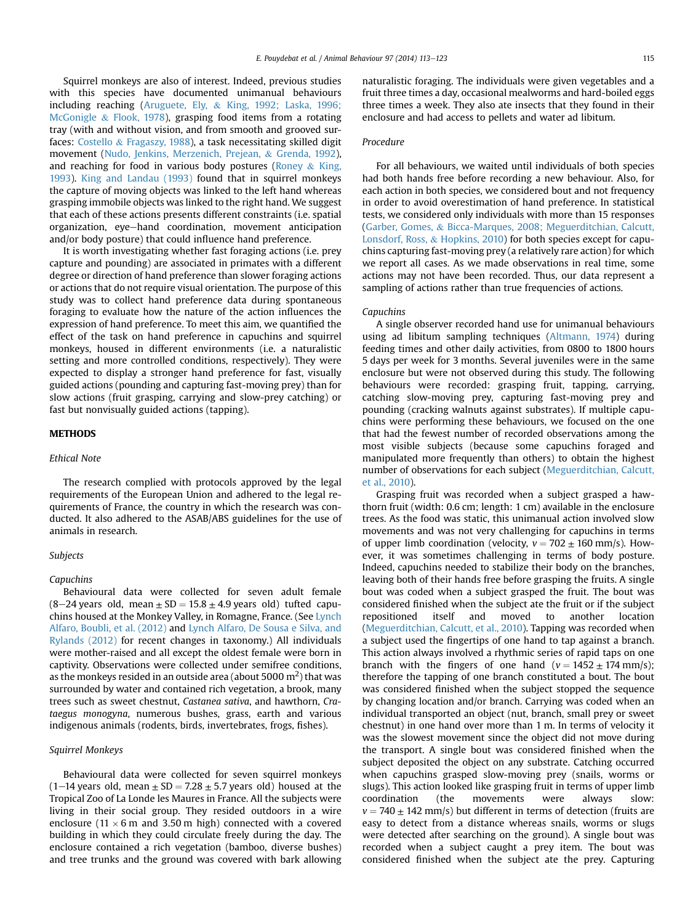Squirrel monkeys are also of interest. Indeed, previous studies with this species have documented unimanual behaviours including reaching ([Aruguete, Ely,](#page-8-0) & [King, 1992; Laska, 1996;](#page-8-0) [McGonigle](#page-8-0) & [Flook, 1978\)](#page-8-0), grasping food items from a rotating tray (with and without vision, and from smooth and grooved surfaces: [Costello](#page-8-0) & [Fragaszy, 1988\)](#page-8-0), a task necessitating skilled digit movement ([Nudo, Jenkins, Merzenich, Prejean,](#page-10-0) & [Grenda, 1992\)](#page-10-0), and reaching for food in various body postures ([Roney](#page-10-0)  $\&$  [King,](#page-10-0) [1993\)](#page-10-0). [King and Landau \(1993\)](#page-9-0) found that in squirrel monkeys the capture of moving objects was linked to the left hand whereas grasping immobile objects was linked to the right hand. We suggest that each of these actions presents different constraints (i.e. spatial organization, eye-hand coordination, movement anticipation and/or body posture) that could influence hand preference.

It is worth investigating whether fast foraging actions (i.e. prey capture and pounding) are associated in primates with a different degree or direction of hand preference than slower foraging actions or actions that do not require visual orientation. The purpose of this study was to collect hand preference data during spontaneous foraging to evaluate how the nature of the action influences the expression of hand preference. To meet this aim, we quantified the effect of the task on hand preference in capuchins and squirrel monkeys, housed in different environments (i.e. a naturalistic setting and more controlled conditions, respectively). They were expected to display a stronger hand preference for fast, visually guided actions (pounding and capturing fast-moving prey) than for slow actions (fruit grasping, carrying and slow-prey catching) or fast but nonvisually guided actions (tapping).

#### METHODS

#### Ethical Note

The research complied with protocols approved by the legal requirements of the European Union and adhered to the legal requirements of France, the country in which the research was conducted. It also adhered to the ASAB/ABS guidelines for the use of animals in research.

#### Subjects

#### Capuchins

Behavioural data were collected for seven adult female  $(8-24 \text{ years}$  old, mean  $\pm$  SD = 15.8  $\pm$  4.9 years old) tufted capuchins housed at the Monkey Valley, in Romagne, France. (See [Lynch](#page-9-0) [Alfaro, Boubli, et al. \(2012\)](#page-9-0) and [Lynch Alfaro, De Sousa e Silva, and](#page-9-0) [Rylands \(2012\)](#page-9-0) for recent changes in taxonomy.) All individuals were mother-raised and all except the oldest female were born in captivity. Observations were collected under semifree conditions, as the monkeys resided in an outside area (about 5000  $\mathrm{m}^{2})$  that was surrounded by water and contained rich vegetation, a brook, many trees such as sweet chestnut, Castanea sativa, and hawthorn, Crataegus monogyna, numerous bushes, grass, earth and various indigenous animals (rodents, birds, invertebrates, frogs, fishes).

## Squirrel Monkeys

Behavioural data were collected for seven squirrel monkeys  $(1-14$  years old, mean  $\pm$  SD = 7.28  $\pm$  5.7 years old) housed at the Tropical Zoo of La Londe les Maures in France. All the subjects were living in their social group. They resided outdoors in a wire enclosure (11  $\times$  6 m and 3.50 m high) connected with a covered building in which they could circulate freely during the day. The enclosure contained a rich vegetation (bamboo, diverse bushes) and tree trunks and the ground was covered with bark allowing naturalistic foraging. The individuals were given vegetables and a fruit three times a day, occasional mealworms and hard-boiled eggs three times a week. They also ate insects that they found in their enclosure and had access to pellets and water ad libitum.

# Procedure

For all behaviours, we waited until individuals of both species had both hands free before recording a new behaviour. Also, for each action in both species, we considered bout and not frequency in order to avoid overestimation of hand preference. In statistical tests, we considered only individuals with more than 15 responses ([Garber, Gomes,](#page-9-0) & [Bicca-Marques, 2008; Meguerditchian, Calcutt,](#page-9-0) [Lonsdorf, Ross,](#page-9-0) & [Hopkins, 2010\)](#page-9-0) for both species except for capuchins capturing fast-moving prey (a relatively rare action) for which we report all cases. As we made observations in real time, some actions may not have been recorded. Thus, our data represent a sampling of actions rather than true frequencies of actions.

#### Capuchins

A single observer recorded hand use for unimanual behaviours using ad libitum sampling techniques ([Altmann, 1974](#page-8-0)) during feeding times and other daily activities, from 0800 to 1800 hours 5 days per week for 3 months. Several juveniles were in the same enclosure but were not observed during this study. The following behaviours were recorded: grasping fruit, tapping, carrying, catching slow-moving prey, capturing fast-moving prey and pounding (cracking walnuts against substrates). If multiple capuchins were performing these behaviours, we focused on the one that had the fewest number of recorded observations among the most visible subjects (because some capuchins foraged and manipulated more frequently than others) to obtain the highest number of observations for each subject ([Meguerditchian, Calcutt,](#page-9-0) [et al., 2010](#page-9-0)).

Grasping fruit was recorded when a subject grasped a hawthorn fruit (width: 0.6 cm; length: 1 cm) available in the enclosure trees. As the food was static, this unimanual action involved slow movements and was not very challenging for capuchins in terms of upper limb coordination (velocity,  $v = 702 \pm 160$  mm/s). However, it was sometimes challenging in terms of body posture. Indeed, capuchins needed to stabilize their body on the branches, leaving both of their hands free before grasping the fruits. A single bout was coded when a subject grasped the fruit. The bout was considered finished when the subject ate the fruit or if the subject repositioned itself and moved to another location ([Meguerditchian, Calcutt, et al., 2010](#page-9-0)). Tapping was recorded when a subject used the fingertips of one hand to tap against a branch. This action always involved a rhythmic series of rapid taps on one branch with the fingers of one hand ( $v = 1452 \pm 174$  mm/s); therefore the tapping of one branch constituted a bout. The bout was considered finished when the subject stopped the sequence by changing location and/or branch. Carrying was coded when an individual transported an object (nut, branch, small prey or sweet chestnut) in one hand over more than 1 m. In terms of velocity it was the slowest movement since the object did not move during the transport. A single bout was considered finished when the subject deposited the object on any substrate. Catching occurred when capuchins grasped slow-moving prey (snails, worms or slugs). This action looked like grasping fruit in terms of upper limb coordination (the movements were always slow:  $v = 740 \pm 142$  mm/s) but different in terms of detection (fruits are easy to detect from a distance whereas snails, worms or slugs were detected after searching on the ground). A single bout was recorded when a subject caught a prey item. The bout was considered finished when the subject ate the prey. Capturing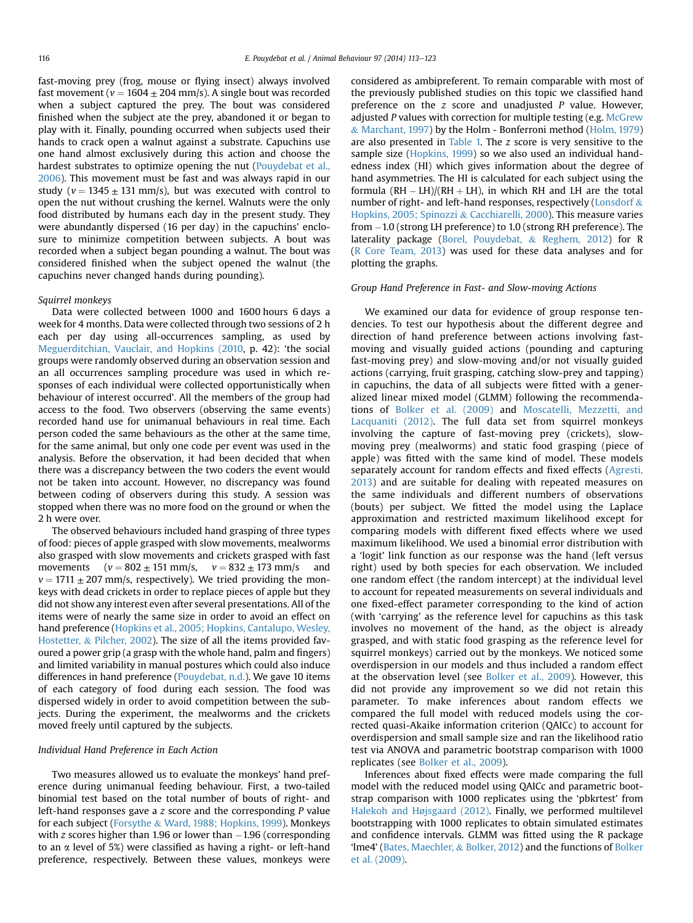fast-moving prey (frog, mouse or flying insect) always involved fast movement ( $v = 1604 \pm 204$  mm/s). A single bout was recorded when a subject captured the prey. The bout was considered finished when the subject ate the prey, abandoned it or began to play with it. Finally, pounding occurred when subjects used their hands to crack open a walnut against a substrate. Capuchins use one hand almost exclusively during this action and choose the hardest substrates to optimize opening the nut [\(Pouydebat et al.,](#page-10-0) [2006](#page-10-0)). This movement must be fast and was always rapid in our study ( $v = 1345 \pm 131$  mm/s), but was executed with control to open the nut without crushing the kernel. Walnuts were the only food distributed by humans each day in the present study. They were abundantly dispersed (16 per day) in the capuchins' enclosure to minimize competition between subjects. A bout was recorded when a subject began pounding a walnut. The bout was considered finished when the subject opened the walnut (the capuchins never changed hands during pounding).

## Squirrel monkeys

Data were collected between 1000 and 1600 hours 6 days a week for 4 months. Data were collected through two sessions of 2 h each per day using all-occurrences sampling, as used by [Meguerditchian, Vauclair, and Hopkins \(2010,](#page-9-0) p. 42): 'the social groups were randomly observed during an observation session and an all occurrences sampling procedure was used in which responses of each individual were collected opportunistically when behaviour of interest occurred'. All the members of the group had access to the food. Two observers (observing the same events) recorded hand use for unimanual behaviours in real time. Each person coded the same behaviours as the other at the same time, for the same animal, but only one code per event was used in the analysis. Before the observation, it had been decided that when there was a discrepancy between the two coders the event would not be taken into account. However, no discrepancy was found between coding of observers during this study. A session was stopped when there was no more food on the ground or when the 2 h were over.

The observed behaviours included hand grasping of three types of food: pieces of apple grasped with slow movements, mealworms also grasped with slow movements and crickets grasped with fast movements  $(v = 802 \pm 151 \text{ mm/s}, v = 832 \pm 173 \text{ mm/s}$  and  $v = 1711 \pm 207$  mm/s, respectively). We tried providing the monkeys with dead crickets in order to replace pieces of apple but they did not show any interest even after several presentations. All of the items were of nearly the same size in order to avoid an effect on hand preference [\(Hopkins et al., 2005; Hopkins, Cantalupo, Wesley,](#page-9-0) [Hostetter,](#page-9-0) & [Pilcher, 2002\)](#page-9-0). The size of all the items provided favoured a power grip (a grasp with the whole hand, palm and fingers) and limited variability in manual postures which could also induce differences in hand preference ([Pouydebat, n.d.\)](#page-10-0). We gave 10 items of each category of food during each session. The food was dispersed widely in order to avoid competition between the subjects. During the experiment, the mealworms and the crickets moved freely until captured by the subjects.

#### Individual Hand Preference in Each Action

Two measures allowed us to evaluate the monkeys' hand preference during unimanual feeding behaviour. First, a two-tailed binomial test based on the total number of bouts of right- and left-hand responses gave a z score and the corresponding P value for each subject ([Forsythe](#page-9-0) & [Ward, 1988; Hopkins, 1999\)](#page-9-0). Monkeys with  $z$  scores higher than 1.96 or lower than  $-1.96$  (corresponding to an  $\alpha$  level of 5%) were classified as having a right- or left-hand preference, respectively. Between these values, monkeys were considered as ambipreferent. To remain comparable with most of the previously published studies on this topic we classified hand preference on the  $z$  score and unadjusted  $P$  value. However, adjusted P values with correction for multiple testing (e.g. [McGrew](#page-9-0) & [Marchant, 1997\)](#page-9-0) by the Holm - Bonferroni method [\(Holm, 1979\)](#page-9-0) are also presented in [Table 1.](#page-4-0) The z score is very sensitive to the sample size [\(Hopkins, 1999\)](#page-9-0) so we also used an individual handedness index (HI) which gives information about the degree of hand asymmetries. The HI is calculated for each subject using the formula  $(RH - LH)/(RH + LH)$ , in which RH and LH are the total number of right- and left-hand responses, respectively [\(Lonsdorf](#page-9-0) & [Hopkins, 2005; Spinozzi](#page-9-0) & [Cacchiarelli, 2000](#page-9-0)). This measure varies from  $-1.0$  (strong LH preference) to 1.0 (strong RH preference). The laterality package [\(Borel, Pouydebat,](#page-8-0) & [Reghem, 2012\)](#page-8-0) for R ([R Core Team, 2013\)](#page-10-0) was used for these data analyses and for plotting the graphs.

#### Group Hand Preference in Fast- and Slow-moving Actions

We examined our data for evidence of group response tendencies. To test our hypothesis about the different degree and direction of hand preference between actions involving fastmoving and visually guided actions (pounding and capturing fast-moving prey) and slow-moving and/or not visually guided actions (carrying, fruit grasping, catching slow-prey and tapping) in capuchins, the data of all subjects were fitted with a generalized linear mixed model (GLMM) following the recommendations of [Bolker et al. \(2009\)](#page-8-0) and [Moscatelli, Mezzetti, and](#page-10-0) [Lacquaniti \(2012\)](#page-10-0). The full data set from squirrel monkeys involving the capture of fast-moving prey (crickets), slowmoving prey (mealworms) and static food grasping (piece of apple) was fitted with the same kind of model. These models separately account for random effects and fixed effects ([Agresti,](#page-8-0) [2013](#page-8-0)) and are suitable for dealing with repeated measures on the same individuals and different numbers of observations (bouts) per subject. We fitted the model using the Laplace approximation and restricted maximum likelihood except for comparing models with different fixed effects where we used maximum likelihood. We used a binomial error distribution with a 'logit' link function as our response was the hand (left versus right) used by both species for each observation. We included one random effect (the random intercept) at the individual level to account for repeated measurements on several individuals and one fixed-effect parameter corresponding to the kind of action (with 'carrying' as the reference level for capuchins as this task involves no movement of the hand, as the object is already grasped, and with static food grasping as the reference level for squirrel monkeys) carried out by the monkeys. We noticed some overdispersion in our models and thus included a random effect at the observation level (see [Bolker et al., 2009\)](#page-8-0). However, this did not provide any improvement so we did not retain this parameter. To make inferences about random effects we compared the full model with reduced models using the corrected quasi-Akaike information criterion (QAICc) to account for overdispersion and small sample size and ran the likelihood ratio test via ANOVA and parametric bootstrap comparison with 1000 replicates (see [Bolker et al., 2009\)](#page-8-0).

Inferences about fixed effects were made comparing the full model with the reduced model using QAICc and parametric bootstrap comparison with 1000 replicates using the 'pbkrtest' from [Halekoh and Højsgaard \(2012\)](#page-9-0). Finally, we performed multilevel bootstrapping with 1000 replicates to obtain simulated estimates and confidence intervals. GLMM was fitted using the R package 'lme4' ([Bates, Maechler,](#page-8-0) & [Bolker, 2012\)](#page-8-0) and the functions of [Bolker](#page-8-0) [et al. \(2009\).](#page-8-0)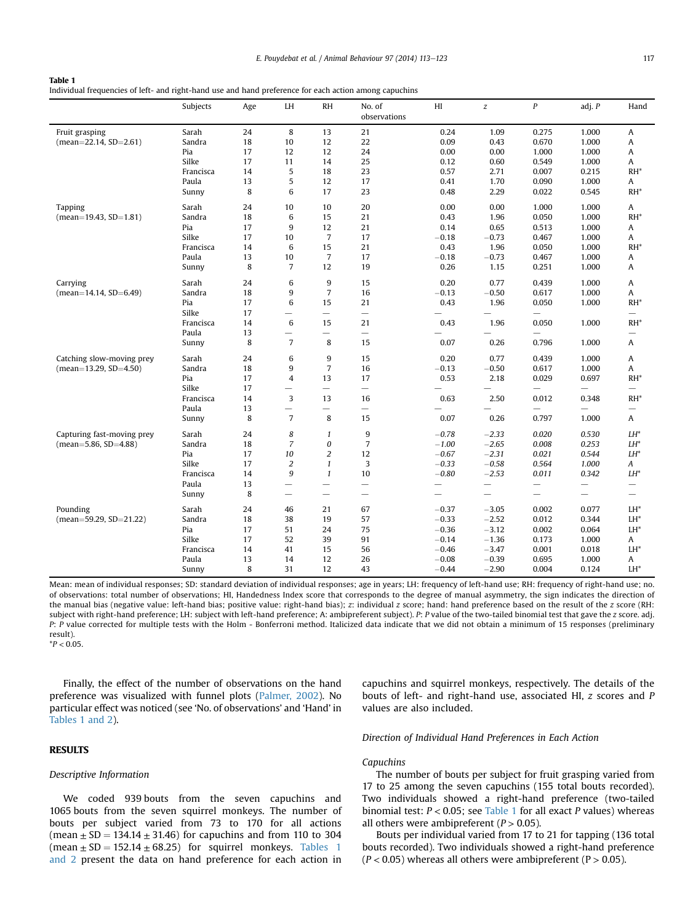#### <span id="page-4-0"></span>Table 1 Individual frequencies of left- and right-hand use and hand preference for each action among capuchins

|                            | Subjects  | Age | LH                       | <b>RH</b>                         | No. of<br>observations   | HI                       | $\boldsymbol{z}$         | $\boldsymbol{P}$         | adj. P                   | Hand                     |
|----------------------------|-----------|-----|--------------------------|-----------------------------------|--------------------------|--------------------------|--------------------------|--------------------------|--------------------------|--------------------------|
| Fruit grasping             | Sarah     | 24  | 8                        | 13                                | 21                       | 0.24                     | 1.09                     | 0.275                    | 1.000                    | A                        |
| $(mean=22.14, SD=2.61)$    | Sandra    | 18  | 10                       | 12                                | 22                       | 0.09                     | 0.43                     | 0.670                    | 1.000                    | Α                        |
|                            | Pia       | 17  | 12                       | 12                                | 24                       | 0.00                     | 0.00                     | 1.000                    | 1.000                    | Α                        |
|                            | Silke     | 17  | 11                       | 14                                | 25                       | 0.12                     | 0.60                     | 0.549                    | 1.000                    | Α                        |
|                            | Francisca | 14  | 5                        | 18                                | 23                       | 0.57                     | 2.71                     | 0.007                    | 0.215                    | $RH^*$                   |
|                            | Paula     | 13  | 5                        | 12                                | 17                       | 0.41                     | 1.70                     | 0.090                    | 1.000                    | Α                        |
|                            | Sunny     | 8   | 6                        | 17                                | 23                       | 0.48                     | 2.29                     | 0.022                    | 0.545                    | $RH^*$                   |
| <b>Tapping</b>             | Sarah     | 24  | 10                       | 10                                | 20                       | 0.00                     | 0.00                     | 1.000                    | 1.000                    | Α                        |
| $(mean=19.43, SD=1.81)$    | Sandra    | 18  | 6                        | 15                                | 21                       | 0.43                     | 1.96                     | 0.050                    | 1.000                    | $RH^*$                   |
|                            | Pia       | 17  | 9                        | 12                                | 21                       | 0.14                     | 0.65                     | 0.513                    | 1.000                    | Α                        |
|                            | Silke     | 17  | 10                       | $\overline{7}$                    | 17                       | $-0.18$                  | $-0.73$                  | 0.467                    | 1.000                    | A                        |
|                            | Francisca | 14  | 6                        | 15                                | 21                       | 0.43                     | 1.96                     | 0.050                    | 1.000                    | RH*                      |
|                            | Paula     | 13  | 10                       | $\overline{7}$                    | 17                       | $-0.18$                  | $-0.73$                  | 0.467                    | 1.000                    | A                        |
|                            | Sunny     | 8   | $\overline{7}$           | 12                                | 19                       | 0.26                     | 1.15                     | 0.251                    | 1.000                    | Α                        |
| Carrying                   | Sarah     | 24  | 6                        | 9                                 | 15                       | 0.20                     | 0.77                     | 0.439                    | 1.000                    | A                        |
| $(mean=14.14, SD=6.49)$    | Sandra    | 18  | 9                        | $\overline{7}$                    | 16                       | $-0.13$                  | $-0.50$                  | 0.617                    | 1.000                    | Α                        |
|                            | Pia       | 17  | 6                        | 15                                | 21                       | 0.43                     | 1.96                     | 0.050                    | 1.000                    | $RH^*$                   |
|                            | Silke     | 17  | $\overline{\phantom{0}}$ | $\overline{\phantom{m}}$          |                          |                          | $\overline{\phantom{0}}$ | $\overline{\phantom{0}}$ |                          | $\overline{\phantom{0}}$ |
|                            | Francisca | 14  | 6                        | 15                                | 21                       | 0.43                     | 1.96                     | 0.050                    | 1.000                    | $RH^*$                   |
|                            | Paula     | 13  | $\overline{\phantom{0}}$ | $\overline{\phantom{0}}$          | $\overline{\phantom{0}}$ |                          |                          | $\overline{\phantom{0}}$ |                          | $\overline{\phantom{0}}$ |
|                            | Sunny     | 8   | $\overline{7}$           | 8                                 | 15                       | 0.07                     | 0.26                     | 0.796                    | 1.000                    | Α                        |
| Catching slow-moving prey  | Sarah     | 24  | 6                        | 9                                 | 15                       | 0.20                     | 0.77                     | 0.439                    | 1.000                    | Α                        |
| $(mean=13.29, SD=4.50)$    | Sandra    | 18  | 9                        | $\overline{7}$                    | 16                       | $-0.13$                  | $-0.50$                  | 0.617                    | 1.000                    | Α                        |
|                            | Pia       | 17  | $\overline{4}$           | 13                                | 17                       | 0.53                     | 2.18                     | 0.029                    | 0.697                    | $RH^*$                   |
|                            | Silke     | 17  | —                        | $\overline{\phantom{m}}$          |                          |                          |                          |                          |                          | —                        |
|                            | Francisca | 14  | 3                        | 13                                | 16                       | 0.63                     | 2.50                     | 0.012                    | 0.348                    | $RH^*$                   |
|                            | Paula     | 13  | $\overline{\phantom{0}}$ | $\overbrace{\phantom{123221111}}$ |                          |                          |                          | $\overline{\phantom{0}}$ |                          | —                        |
|                            | Sunny     | 8   | $\overline{7}$           | 8                                 | 15                       | 0.07                     | 0.26                     | 0.797                    | 1.000                    | Α                        |
| Capturing fast-moving prey | Sarah     | 24  | 8                        | $\mathbf{1}$                      | 9                        | $-0.78$                  | $-2.33$                  | 0.020                    | 0.530                    | $LH^*$                   |
| (mean=5.86, SD=4.88)       | Sandra    | 18  | $\overline{7}$           | 0                                 | $\overline{7}$           | $-1.00$                  | $-2.65$                  | 0.008                    | 0.253                    | $LH^*$                   |
|                            | Pia       | 17  | 10                       | $\overline{c}$                    | 12                       | $-0.67$                  | $-2.31$                  | 0.021                    | 0.544                    | $LH^*$                   |
|                            | Silke     | 17  | $\sqrt{2}$               | $\mathbf{1}$                      | 3                        | $-0.33$                  | $-0.58$                  | 0.564                    | 1.000                    | Α                        |
|                            | Francisca | 14  | 9                        | $\mathbf{1}$                      | 10                       | $-0.80$                  | $-2.53$                  | 0.011                    | 0.342                    | LH*                      |
|                            | Paula     | 13  | $\overline{\phantom{0}}$ |                                   |                          | $\overline{\phantom{0}}$ |                          | $\overline{\phantom{0}}$ |                          | —                        |
|                            | Sunny     | 8   | $\overline{\phantom{0}}$ | $\overline{\phantom{0}}$          | $\overline{\phantom{0}}$ | $\overline{\phantom{0}}$ |                          | $\overline{\phantom{0}}$ | $\overline{\phantom{0}}$ | $\overline{\phantom{0}}$ |
| Pounding                   | Sarah     | 24  | 46                       | 21                                | 67                       | $-0.37$                  | $-3.05$                  | 0.002                    | 0.077                    | LH*                      |
| $(mean=59.29, SD=21.22)$   | Sandra    | 18  | 38                       | 19                                | 57                       | $-0.33$                  | $-2.52$                  | 0.012                    | 0.344                    | LH*                      |
|                            | Pia       | 17  | 51                       | 24                                | 75                       | $-0.36$                  | $-3.12$                  | 0.002                    | 0.064                    | LH*                      |
|                            | Silke     | 17  | 52                       | 39                                | 91                       | $-0.14$                  | $-1.36$                  | 0.173                    | 1.000                    | A                        |
|                            | Francisca | 14  | 41                       | 15                                | 56                       | $-0.46$                  | $-3.47$                  | 0.001                    | 0.018                    | LH*                      |
|                            | Paula     | 13  | 14                       | 12                                | 26                       | $-0.08$                  | $-0.39$                  | 0.695                    | 1.000                    | A                        |
|                            | Sunny     | 8   | 31                       | 12                                | 43                       | $-0.44$                  | $-2.90$                  | 0.004                    | 0.124                    | LH*                      |

Mean: mean of individual responses; SD: standard deviation of individual responses; age in years; LH: frequency of left-hand use; RH: frequency of right-hand use; no. of observations: total number of observations; HI, Handedness Index score that corresponds to the degree of manual asymmetry, the sign indicates the direction of the manual bias (negative value: left-hand bias; positive value: right-hand bias); z: individual z score; hand: hand preference based on the result of the z score (RH: subject with right-hand preference; LH: subject with left-hand preference; A: ambipreferent subject). P: P value of the two-tailed binomial test that gave the z score. adj. P: P value corrected for multiple tests with the Holm - Bonferroni method. Italicized data indicate that we did not obtain a minimum of 15 responses (preliminary result).  $*P < 0.05$ .

Finally, the effect of the number of observations on the hand preference was visualized with funnel plots ([Palmer, 2002\)](#page-10-0). No particular effect was noticed (see 'No. of observations' and 'Hand' in Tables 1 and 2).

#### RESULTS

#### Descriptive Information

We coded 939 bouts from the seven capuchins and 1065 bouts from the seven squirrel monkeys. The number of bouts per subject varied from 73 to 170 for all actions (mean  $\pm$  SD = 134.14  $\pm$  31.46) for capuchins and from 110 to 304 (mean  $\pm$  SD = 152.14  $\pm$  68.25) for squirrel monkeys. Tables 1 and 2 present the data on hand preference for each action in

capuchins and squirrel monkeys, respectively. The details of the bouts of left- and right-hand use, associated HI, z scores and P values are also included.

# Direction of Individual Hand Preferences in Each Action

## Capuchins

The number of bouts per subject for fruit grasping varied from 17 to 25 among the seven capuchins (155 total bouts recorded). Two individuals showed a right-hand preference (two-tailed binomial test:  $P < 0.05$ ; see Table 1 for all exact P values) whereas all others were ambipreferent ( $P > 0.05$ ).

Bouts per individual varied from 17 to 21 for tapping (136 total bouts recorded). Two individuals showed a right-hand preference  $(P < 0.05)$  whereas all others were ambipreferent  $(P > 0.05)$ .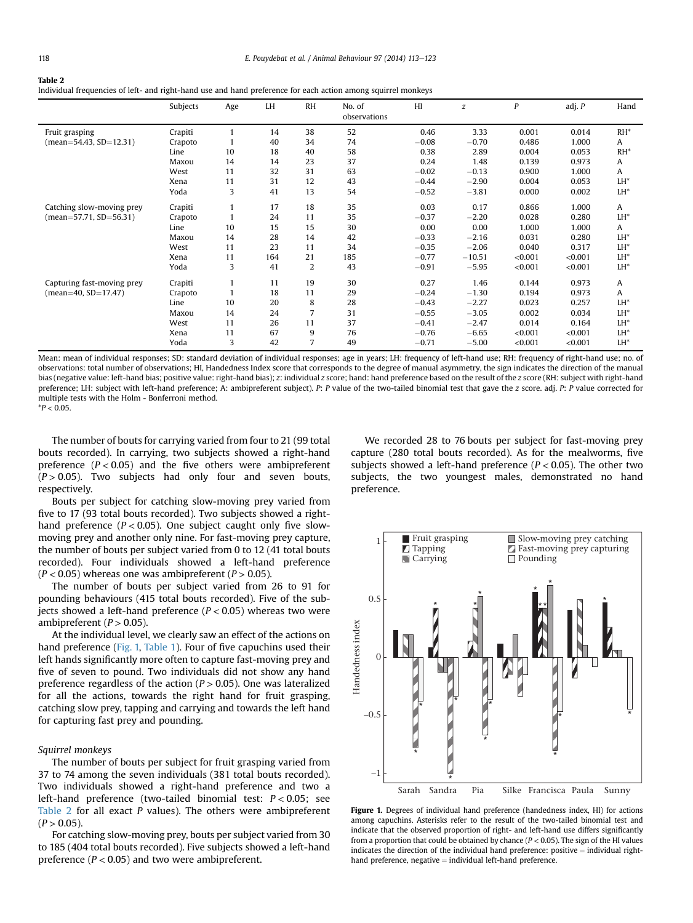<span id="page-5-0"></span>

| Table 2                                                                                                       |
|---------------------------------------------------------------------------------------------------------------|
| Individual frequencies of left- and right-hand use and hand preference for each action among squirrel monkeys |
|                                                                                                               |

|                            | Subjects | Age | LH  | <b>RH</b> | No. of<br>observations | H       | $\boldsymbol{z}$ | P       | adj. P  | Hand            |
|----------------------------|----------|-----|-----|-----------|------------------------|---------|------------------|---------|---------|-----------------|
| Fruit grasping             | Crapiti  |     | 14  | 38        | 52                     | 0.46    | 3.33             | 0.001   | 0.014   | $RH^*$          |
| $(mean=54.43, SD=12.31)$   | Crapoto  |     | 40  | 34        | 74                     | $-0.08$ | $-0.70$          | 0.486   | 1.000   | A               |
|                            | Line     | 10  | 18  | 40        | 58                     | 0.38    | 2.89             | 0.004   | 0.053   | $RH^*$          |
|                            | Maxou    | 14  | 14  | 23        | 37                     | 0.24    | 1.48             | 0.139   | 0.973   | A               |
|                            | West     | 11  | 32  | 31        | 63                     | $-0.02$ | $-0.13$          | 0.900   | 1.000   | A               |
|                            | Xena     | 11  | 31  | 12        | 43                     | $-0.44$ | $-2.90$          | 0.004   | 0.053   | LH <sup>*</sup> |
|                            | Yoda     | 3   | 41  | 13        | 54                     | $-0.52$ | $-3.81$          | 0.000   | 0.002   | LH*             |
| Catching slow-moving prey  | Crapiti  |     | 17  | 18        | 35                     | 0.03    | 0.17             | 0.866   | 1.000   | A               |
| $(mean=57.71, SD=56.31)$   | Crapoto  |     | 24  | 11        | 35                     | $-0.37$ | $-2.20$          | 0.028   | 0.280   | LH <sup>*</sup> |
|                            | Line     | 10  | 15  | 15        | 30                     | 0.00    | 0.00             | 1.000   | 1.000   | A               |
|                            | Maxou    | 14  | 28  | 14        | 42                     | $-0.33$ | $-2.16$          | 0.031   | 0.280   | LH <sup>*</sup> |
|                            | West     | 11  | 23  | 11        | 34                     | $-0.35$ | $-2.06$          | 0.040   | 0.317   | LH <sup>*</sup> |
|                            | Xena     | 11  | 164 | 21        | 185                    | $-0.77$ | $-10.51$         | < 0.001 | < 0.001 | LH <sup>*</sup> |
|                            | Yoda     | 3   | 41  | 2         | 43                     | $-0.91$ | $-5.95$          | < 0.001 | < 0.001 | LH*             |
| Capturing fast-moving prey | Crapiti  |     | 11  | 19        | 30                     | 0.27    | 1.46             | 0.144   | 0.973   | Α               |
| $mean=40$ , $SD=17.47$ )   | Crapoto  |     | 18  | 11        | 29                     | $-0.24$ | $-1.30$          | 0.194   | 0.973   | A               |
|                            | Line     | 10  | 20  | 8         | 28                     | $-0.43$ | $-2.27$          | 0.023   | 0.257   | LH <sup>*</sup> |
|                            | Maxou    | 14  | 24  | 7         | 31                     | $-0.55$ | $-3.05$          | 0.002   | 0.034   | LH <sup>*</sup> |
|                            | West     | 11  | 26  | 11        | 37                     | $-0.41$ | $-2.47$          | 0.014   | 0.164   | $LH^*$          |
|                            | Xena     | 11  | 67  | 9         | 76                     | $-0.76$ | $-6.65$          | < 0.001 | < 0.001 | LH*             |
|                            | Yoda     | 3   | 42  |           | 49                     | $-0.71$ | $-5.00$          | < 0.001 | < 0.001 | LH <sup>*</sup> |

Mean: mean of individual responses; SD: standard deviation of individual responses; age in years; LH: frequency of left-hand use; RH: frequency of right-hand use; no. of observations: total number of observations; HI, Handedness Index score that corresponds to the degree of manual asymmetry, the sign indicates the direction of the manual bias (negative value: left-hand bias; positive value: right-hand bias); z: individual z score; hand: hand preference based on the result of the z score (RH: subject with right-hand preference; LH: subject with left-hand preference; A: ambipreferent subject). P: P value of the two-tailed binomial test that gave the z score. adj. P: P value corrected for multiple tests with the Holm - Bonferroni method.

 $*P < 0.05$ .

The number of bouts for carrying varied from four to 21 (99 total bouts recorded). In carrying, two subjects showed a right-hand preference  $(P < 0.05)$  and the five others were ambipreferent  $(P > 0.05)$ . Two subjects had only four and seven bouts, respectively.

Bouts per subject for catching slow-moving prey varied from five to 17 (93 total bouts recorded). Two subjects showed a righthand preference ( $P < 0.05$ ). One subject caught only five slowmoving prey and another only nine. For fast-moving prey capture, the number of bouts per subject varied from 0 to 12 (41 total bouts recorded). Four individuals showed a left-hand preference  $(P < 0.05)$  whereas one was ambipreferent  $(P > 0.05)$ .

The number of bouts per subject varied from 26 to 91 for pounding behaviours (415 total bouts recorded). Five of the subjects showed a left-hand preference  $(P < 0.05)$  whereas two were ambipreferent ( $P > 0.05$ ).

At the individual level, we clearly saw an effect of the actions on hand preference (Fig. 1, [Table 1](#page-4-0)). Four of five capuchins used their left hands significantly more often to capture fast-moving prey and five of seven to pound. Two individuals did not show any hand preference regardless of the action ( $P > 0.05$ ). One was lateralized for all the actions, towards the right hand for fruit grasping, catching slow prey, tapping and carrying and towards the left hand for capturing fast prey and pounding.

#### Squirrel monkeys

The number of bouts per subject for fruit grasping varied from 37 to 74 among the seven individuals (381 total bouts recorded). Two individuals showed a right-hand preference and two a left-hand preference (two-tailed binomial test:  $P < 0.05$ ; see Table 2 for all exact  $P$  values). The others were ambipreferent  $(P > 0.05)$ .

For catching slow-moving prey, bouts per subject varied from 30 to 185 (404 total bouts recorded). Five subjects showed a left-hand preference ( $P < 0.05$ ) and two were ambipreferent.

We recorded 28 to 76 bouts per subject for fast-moving prey capture (280 total bouts recorded). As for the mealworms, five subjects showed a left-hand preference ( $P < 0.05$ ). The other two subjects, the two youngest males, demonstrated no hand preference.



Figure 1. Degrees of individual hand preference (handedness index, HI) for actions among capuchins. Asterisks refer to the result of the two-tailed binomial test and indicate that the observed proportion of right- and left-hand use differs significantly from a proportion that could be obtained by chance ( $P < 0.05$ ). The sign of the HI values indicates the direction of the individual hand preference: positive  $=$  individual righthand preference, negative  $=$  individual left-hand preference.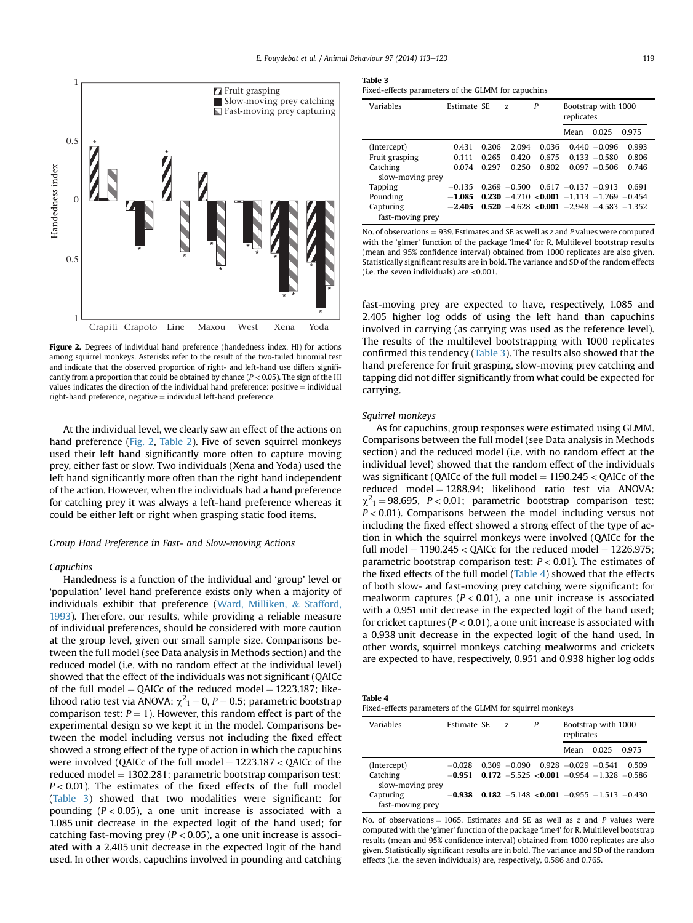<span id="page-6-0"></span>

Figure 2. Degrees of individual hand preference (handedness index, HI) for actions among squirrel monkeys. Asterisks refer to the result of the two-tailed binomial test and indicate that the observed proportion of right- and left-hand use differs significantly from a proportion that could be obtained by chance ( $P < 0.05$ ). The sign of the HI values indicates the direction of the individual hand preference: positive  $=$  individual  $right$ -hand preference, negative  $=$  individual left-hand preference.

At the individual level, we clearly saw an effect of the actions on hand preference (Fig. 2, [Table 2](#page-5-0)). Five of seven squirrel monkeys used their left hand significantly more often to capture moving prey, either fast or slow. Two individuals (Xena and Yoda) used the left hand significantly more often than the right hand independent of the action. However, when the individuals had a hand preference for catching prey it was always a left-hand preference whereas it could be either left or right when grasping static food items.

## Group Hand Preference in Fast- and Slow-moving Actions

## Capuchins

Handedness is a function of the individual and 'group' level or 'population' level hand preference exists only when a majority of individuals exhibit that preference ([Ward, Milliken,](#page-10-0) & [Stafford,](#page-10-0) [1993\)](#page-10-0). Therefore, our results, while providing a reliable measure of individual preferences, should be considered with more caution at the group level, given our small sample size. Comparisons between the full model (see Data analysis in Methods section) and the reduced model (i.e. with no random effect at the individual level) showed that the effect of the individuals was not significant (QAICc of the full model = QAICc of the reduced model =  $1223.187$ ; likelihood ratio test via ANOVA:  $\chi^2{}_1 = 0$ ,  $P = 0.5$ ; parametric bootstrap comparison test:  $P = 1$ ). However, this random effect is part of the experimental design so we kept it in the model. Comparisons between the model including versus not including the fixed effect showed a strong effect of the type of action in which the capuchins were involved (QAICc of the full model  $= 1223.187 < Q$ AICc of the reduced model  $= 1302.281$ ; parametric bootstrap comparison test:  $P < 0.01$ ). The estimates of the fixed effects of the full model (Table 3) showed that two modalities were significant: for pounding ( $P < 0.05$ ), a one unit increase is associated with a 1.085 unit decrease in the expected logit of the hand used; for catching fast-moving prey ( $P < 0.05$ ), a one unit increase is associated with a 2.405 unit decrease in the expected logit of the hand used. In other words, capuchins involved in pounding and catching

#### Table 3

Fixed-effects parameters of the GLMM for capuchins

| Variables        | Estimate SE |       | Z.              | P     | Bootstrap with 1000<br>replicates               |                 |       |
|------------------|-------------|-------|-----------------|-------|-------------------------------------------------|-----------------|-------|
|                  |             |       |                 |       | Mean                                            | 0.025           | 0.975 |
| (Intercept)      | 0.431       | 0.206 | 2.094           | 0.036 |                                                 | $0.440 - 0.096$ | 0.993 |
| Fruit grasping   | 0.111       | 0.265 | 0.420           | 0.675 |                                                 | $0.133 - 0.580$ | 0.806 |
| Catching         | 0.074       | 0.297 | 0.250           | 0.802 |                                                 | $0.097 - 0.506$ | 0.746 |
| slow-moving prey |             |       |                 |       |                                                 |                 |       |
| <b>Tapping</b>   | $-0.135$    |       | $0.269 - 0.500$ |       | $0.617 - 0.137 - 0.913$                         |                 | 0.691 |
| Pounding         | $-1.085$    |       |                 |       | $0.230 - 4.710 < 0.001 - 1.113 - 1.769 - 0.454$ |                 |       |
| Capturing        | $-2.405$    |       |                 |       | $0.520 - 4.628 < 0.001 - 2.948 - 4.583 - 1.352$ |                 |       |
| fast-moving prey |             |       |                 |       |                                                 |                 |       |

No. of observations  $= 939$ . Estimates and SE as well as z and P values were computed with the 'glmer' function of the package 'lme4' for R. Multilevel bootstrap results (mean and 95% confidence interval) obtained from 1000 replicates are also given. Statistically significant results are in bold. The variance and SD of the random effects (i.e. the seven individuals) are  $\leq 0.001$ .

fast-moving prey are expected to have, respectively, 1.085 and 2.405 higher log odds of using the left hand than capuchins involved in carrying (as carrying was used as the reference level). The results of the multilevel bootstrapping with 1000 replicates confirmed this tendency (Table 3). The results also showed that the hand preference for fruit grasping, slow-moving prey catching and tapping did not differ significantly from what could be expected for carrying.

# Squirrel monkeys

As for capuchins, group responses were estimated using GLMM. Comparisons between the full model (see Data analysis in Methods section) and the reduced model (i.e. with no random effect at the individual level) showed that the random effect of the individuals was significant (QAICc of the full model  $= 1190.245 <$  QAICc of the reduced model = 1288.94; likelihood ratio test via ANOVA:  $\chi^2$ <sub>1</sub> = 98.695, *P* < 0.01; parametric bootstrap comparison test:  $P < 0.01$ ). Comparisons between the model including versus not including the fixed effect showed a strong effect of the type of action in which the squirrel monkeys were involved (QAICc for the full model  $= 1190.245 <$  QAICc for the reduced model  $= 1226.975$ ; parametric bootstrap comparison test:  $P < 0.01$ ). The estimates of the fixed effects of the full model (Table 4) showed that the effects of both slow- and fast-moving prey catching were significant: for mealworm captures ( $P < 0.01$ ), a one unit increase is associated with a 0.951 unit decrease in the expected logit of the hand used; for cricket captures ( $P < 0.01$ ), a one unit increase is associated with a 0.938 unit decrease in the expected logit of the hand used. In other words, squirrel monkeys catching mealworms and crickets are expected to have, respectively, 0.951 and 0.938 higher log odds

| Table |  |
|-------|--|
|-------|--|

Fixed-effects parameters of the GLMM for squirrel monkeys

| Variables                     | Estimate SE | $Z_{\cdot}$ | P | Bootstrap with 1000<br>replicates              |       |       |
|-------------------------------|-------------|-------------|---|------------------------------------------------|-------|-------|
|                               |             |             |   | Mean                                           | 0.025 | 0.975 |
| (Intercept)                   | $-0.028$    |             |   | $0.309 - 0.090 0.928 - 0.029 - 0.541$          |       | 0 509 |
| Catching<br>slow-moving prey  | $-0.951$    |             |   | 0.172 $-5.525$ <0.001 $-0.954$ -1.328 $-0.586$ |       |       |
| Capturing<br>fast-moving prey | -0.938      |             |   | 0.182 -5.148 < 0.001 -0.955 -1.513 -0.430      |       |       |

No. of observations = 1065. Estimates and SE as well as z and P values were computed with the 'glmer' function of the package 'lme4' for R. Multilevel bootstrap results (mean and 95% confidence interval) obtained from 1000 replicates are also given. Statistically significant results are in bold. The variance and SD of the random effects (i.e. the seven individuals) are, respectively, 0.586 and 0.765.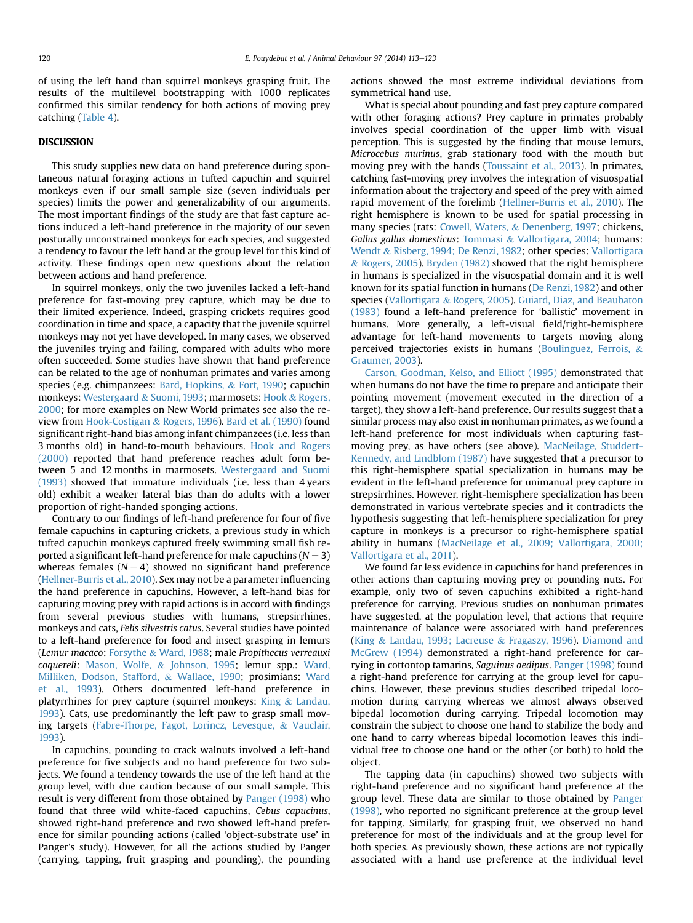of using the left hand than squirrel monkeys grasping fruit. The results of the multilevel bootstrapping with 1000 replicates confirmed this similar tendency for both actions of moving prey catching [\(Table 4](#page-6-0)).

# DISCUSSION

This study supplies new data on hand preference during spontaneous natural foraging actions in tufted capuchin and squirrel monkeys even if our small sample size (seven individuals per species) limits the power and generalizability of our arguments. The most important findings of the study are that fast capture actions induced a left-hand preference in the majority of our seven posturally unconstrained monkeys for each species, and suggested a tendency to favour the left hand at the group level for this kind of activity. These findings open new questions about the relation between actions and hand preference.

In squirrel monkeys, only the two juveniles lacked a left-hand preference for fast-moving prey capture, which may be due to their limited experience. Indeed, grasping crickets requires good coordination in time and space, a capacity that the juvenile squirrel monkeys may not yet have developed. In many cases, we observed the juveniles trying and failing, compared with adults who more often succeeded. Some studies have shown that hand preference can be related to the age of nonhuman primates and varies among species (e.g. chimpanzees: [Bard, Hopkins,](#page-8-0) & [Fort, 1990;](#page-8-0) capuchin monkeys: [Westergaard](#page-10-0) & [Suomi, 1993](#page-10-0); marmosets: [Hook](#page-9-0) & [Rogers,](#page-9-0) [2000](#page-9-0); for more examples on New World primates see also the review from [Hook-Costigan](#page-9-0) & [Rogers, 1996](#page-9-0)). [Bard et al. \(1990\)](#page-8-0) found significant right-hand bias among infant chimpanzees (i.e. less than 3 months old) in hand-to-mouth behaviours. [Hook and Rogers](#page-9-0) [\(2000\)](#page-9-0) reported that hand preference reaches adult form between 5 and 12 months in marmosets. [Westergaard and Suomi](#page-10-0) [\(1993\)](#page-10-0) showed that immature individuals (i.e. less than 4 years old) exhibit a weaker lateral bias than do adults with a lower proportion of right-handed sponging actions.

Contrary to our findings of left-hand preference for four of five female capuchins in capturing crickets, a previous study in which tufted capuchin monkeys captured freely swimming small fish reported a significant left-hand preference for male capuchins ( $N = 3$ ) whereas females  $(N = 4)$  showed no significant hand preference ([Hellner-Burris et al., 2010](#page-9-0)). Sex may not be a parameter influencing the hand preference in capuchins. However, a left-hand bias for capturing moving prey with rapid actions is in accord with findings from several previous studies with humans, strepsirrhines, monkeys and cats, Felis silvestris catus. Several studies have pointed to a left-hand preference for food and insect grasping in lemurs (Lemur macaco: [Forsythe](#page-9-0) & [Ward, 1988;](#page-9-0) male Propithecus verreauxi coquereli: [Mason, Wolfe,](#page-9-0) & [Johnson, 1995](#page-9-0); lemur spp.: [Ward,](#page-10-0) [Milliken, Dodson, Stafford,](#page-10-0) & [Wallace, 1990;](#page-10-0) prosimians: [Ward](#page-10-0) [et al., 1993](#page-10-0)). Others documented left-hand preference in platyrrhines for prey capture (squirrel monkeys: [King](#page-9-0) & [Landau,](#page-9-0) [1993](#page-9-0)). Cats, use predominantly the left paw to grasp small moving targets ([Fabre-Thorpe, Fagot, Lorincz, Levesque,](#page-9-0) & [Vauclair,](#page-9-0) [1993](#page-9-0)).

In capuchins, pounding to crack walnuts involved a left-hand preference for five subjects and no hand preference for two subjects. We found a tendency towards the use of the left hand at the group level, with due caution because of our small sample. This result is very different from those obtained by [Panger \(1998\)](#page-10-0) who found that three wild white-faced capuchins, Cebus capucinus, showed right-hand preference and two showed left-hand preference for similar pounding actions (called 'object-substrate use' in Panger's study). However, for all the actions studied by Panger (carrying, tapping, fruit grasping and pounding), the pounding actions showed the most extreme individual deviations from symmetrical hand use.

What is special about pounding and fast prey capture compared with other foraging actions? Prey capture in primates probably involves special coordination of the upper limb with visual perception. This is suggested by the finding that mouse lemurs, Microcebus murinus, grab stationary food with the mouth but moving prey with the hands [\(Toussaint et al., 2013](#page-10-0)). In primates, catching fast-moving prey involves the integration of visuospatial information about the trajectory and speed of the prey with aimed rapid movement of the forelimb [\(Hellner-Burris et al., 2010\)](#page-9-0). The right hemisphere is known to be used for spatial processing in many species (rats: [Cowell, Waters,](#page-8-0) & [Denenberg, 1997;](#page-8-0) chickens, Gallus gallus domesticus: [Tommasi](#page-10-0) & [Vallortigara, 2004;](#page-10-0) humans: [Wendt](#page-10-0) & [Risberg, 1994; De Renzi, 1982;](#page-10-0) other species: [Vallortigara](#page-10-0) & [Rogers, 2005](#page-10-0)). [Bryden \(1982\)](#page-8-0) showed that the right hemisphere in humans is specialized in the visuospatial domain and it is well known for its spatial function in humans ([De Renzi, 1982\)](#page-8-0) and other species [\(Vallortigara](#page-10-0) & [Rogers, 2005](#page-10-0)). [Guiard, Diaz, and Beaubaton](#page-9-0) [\(1983\)](#page-9-0) found a left-hand preference for 'ballistic' movement in humans. More generally, a left-visual field/right-hemisphere advantage for left-hand movements to targets moving along perceived trajectories exists in humans ([Boulinguez, Ferrois,](#page-8-0) & [Graumer, 2003](#page-8-0)).

[Carson, Goodman, Kelso, and Elliott \(1995\)](#page-8-0) demonstrated that when humans do not have the time to prepare and anticipate their pointing movement (movement executed in the direction of a target), they show a left-hand preference. Our results suggest that a similar process may also exist in nonhuman primates, as we found a left-hand preference for most individuals when capturing fastmoving prey, as have others (see above). [MacNeilage, Studdert-](#page-9-0)[Kennedy, and Lindblom \(1987\)](#page-9-0) have suggested that a precursor to this right-hemisphere spatial specialization in humans may be evident in the left-hand preference for unimanual prey capture in strepsirrhines. However, right-hemisphere specialization has been demonstrated in various vertebrate species and it contradicts the hypothesis suggesting that left-hemisphere specialization for prey capture in monkeys is a precursor to right-hemisphere spatial ability in humans [\(MacNeilage et al., 2009; Vallortigara, 2000;](#page-9-0) [Vallortigara et al., 2011](#page-9-0)).

We found far less evidence in capuchins for hand preferences in other actions than capturing moving prey or pounding nuts. For example, only two of seven capuchins exhibited a right-hand preference for carrying. Previous studies on nonhuman primates have suggested, at the population level, that actions that require maintenance of balance were associated with hand preferences ([King](#page-9-0) & [Landau, 1993; Lacreuse](#page-9-0) & [Fragaszy, 1996](#page-9-0)). [Diamond and](#page-8-0) [McGrew \(1994\)](#page-8-0) demonstrated a right-hand preference for carrying in cottontop tamarins, Saguinus oedipus. [Panger \(1998\)](#page-10-0) found a right-hand preference for carrying at the group level for capuchins. However, these previous studies described tripedal locomotion during carrying whereas we almost always observed bipedal locomotion during carrying. Tripedal locomotion may constrain the subject to choose one hand to stabilize the body and one hand to carry whereas bipedal locomotion leaves this individual free to choose one hand or the other (or both) to hold the object.

The tapping data (in capuchins) showed two subjects with right-hand preference and no significant hand preference at the group level. These data are similar to those obtained by [Panger](#page-10-0) [\(1998\)](#page-10-0), who reported no significant preference at the group level for tapping. Similarly, for grasping fruit, we observed no hand preference for most of the individuals and at the group level for both species. As previously shown, these actions are not typically associated with a hand use preference at the individual level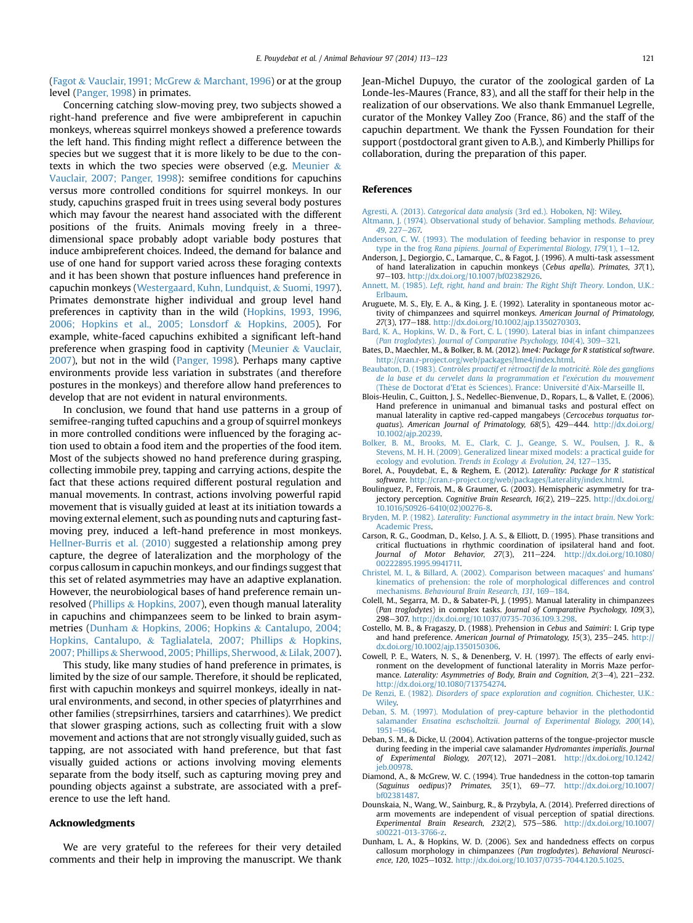<span id="page-8-0"></span>([Fagot](#page-9-0) & [Vauclair, 1991; McGrew](#page-9-0) & [Marchant, 1996\)](#page-9-0) or at the group level ([Panger, 1998\)](#page-10-0) in primates.

Concerning catching slow-moving prey, two subjects showed a right-hand preference and five were ambipreferent in capuchin monkeys, whereas squirrel monkeys showed a preference towards the left hand. This finding might reflect a difference between the species but we suggest that it is more likely to be due to the contexts in which the two species were observed (e.g. [Meunier](#page-10-0) & [Vauclair, 2007; Panger, 1998\)](#page-10-0): semifree conditions for capuchins versus more controlled conditions for squirrel monkeys. In our study, capuchins grasped fruit in trees using several body postures which may favour the nearest hand associated with the different positions of the fruits. Animals moving freely in a threedimensional space probably adopt variable body postures that induce ambipreferent choices. Indeed, the demand for balance and use of one hand for support varied across these foraging contexts and it has been shown that posture influences hand preference in capuchin monkeys ([Westergaard, Kuhn, Lundquist,](#page-10-0) & [Suomi, 1997\)](#page-10-0). Primates demonstrate higher individual and group level hand preferences in captivity than in the wild ([Hopkins, 1993, 1996,](#page-9-0) [2006; Hopkins et al., 2005; Lonsdorf](#page-9-0) & [Hopkins, 2005](#page-9-0)). For example, white-faced capuchins exhibited a significant left-hand preference when grasping food in captivity [\(Meunier](#page-10-0) & [Vauclair,](#page-10-0) [2007\)](#page-10-0), but not in the wild ([Panger, 1998\)](#page-10-0). Perhaps many captive environments provide less variation in substrates (and therefore postures in the monkeys) and therefore allow hand preferences to develop that are not evident in natural environments.

In conclusion, we found that hand use patterns in a group of semifree-ranging tufted capuchins and a group of squirrel monkeys in more controlled conditions were influenced by the foraging action used to obtain a food item and the properties of the food item. Most of the subjects showed no hand preference during grasping, collecting immobile prey, tapping and carrying actions, despite the fact that these actions required different postural regulation and manual movements. In contrast, actions involving powerful rapid movement that is visually guided at least at its initiation towards a moving external element, such as pounding nuts and capturing fastmoving prey, induced a left-hand preference in most monkeys. [Hellner-Burris et al. \(2010\)](#page-9-0) suggested a relationship among prey capture, the degree of lateralization and the morphology of the corpus callosum in capuchin monkeys, and our findings suggest that this set of related asymmetries may have an adaptive explanation. However, the neurobiological bases of hand preference remain unresolved ([Phillips](#page-10-0) & [Hopkins, 2007\)](#page-10-0), even though manual laterality in capuchins and chimpanzees seem to be linked to brain asymmetries (Dunham & Hopkins, 2006; Hopkins & Cantalupo, 2004; Hopkins, Cantalupo, & Taglialatela, 2007; Phillips & Hopkins, 2007; Phillips & Sherwood, 2005; Phillips, Sherwood, & Lilak, 2007).

This study, like many studies of hand preference in primates, is limited by the size of our sample. Therefore, it should be replicated, first with capuchin monkeys and squirrel monkeys, ideally in natural environments, and second, in other species of platyrrhines and other families (strepsirrhines, tarsiers and catarrhines). We predict that slower grasping actions, such as collecting fruit with a slow movement and actions that are not strongly visually guided, such as tapping, are not associated with hand preference, but that fast visually guided actions or actions involving moving elements separate from the body itself, such as capturing moving prey and pounding objects against a substrate, are associated with a preference to use the left hand.

## Acknowledgments

We are very grateful to the referees for their very detailed comments and their help in improving the manuscript. We thank Jean-Michel Dupuyo, the curator of the zoological garden of La Londe-les-Maures (France, 83), and all the staff for their help in the realization of our observations. We also thank Emmanuel Legrelle, curator of the Monkey Valley Zoo (France, 86) and the staff of the capuchin department. We thank the Fyssen Foundation for their support (postdoctoral grant given to A.B.), and Kimberly Phillips for collaboration, during the preparation of this paper.

## References

- Agresti, A. (2013). Categorical data analysis [\(3rd ed.\). Hoboken, NJ: Wiley.](http://refhub.elsevier.com/S0003-3472(14)00344-3/sref1)
- [Altmann, J. \(1974\). Observational study of behavior. Sampling methods.](http://refhub.elsevier.com/S0003-3472(14)00344-3/sref2) Behaviour, 49[, 227](http://refhub.elsevier.com/S0003-3472(14)00344-3/sref2)-[267.](http://refhub.elsevier.com/S0003-3472(14)00344-3/sref2)
- [Anderson, C. W. \(1993\). The modulation of feeding behavior in response to prey](http://refhub.elsevier.com/S0003-3472(14)00344-3/sref3) type in the frog Rana pipiens. Journal of Experimental Biology,  $179(1)$ ,  $1-12$  $1-12$ .
- Anderson, J., Degiorgio, C., Lamarque, C., & Fagot, J. (1996). A multi-task assessment of hand lateralization in capuchin monkeys (Cebus apella). Primates, 37(1), 97-103. <http://dx.doi.org/10.1007/bf02382926>
- Annett, M. (1985). [Left, right, hand and brain: The Right Shift Theory](http://refhub.elsevier.com/S0003-3472(14)00344-3/sref5). London, U.K.: [Erlbaum.](http://refhub.elsevier.com/S0003-3472(14)00344-3/sref5)
- Aruguete, M. S., Ely, E. A., & King, J. E. (1992). Laterality in spontaneous motor activity of chimpanzees and squirrel monkeys. American Journal of Primatology, 27(3), 177-188. http://dx.doi.org/10.1002/ajp.1350270303
- [Bard, K. A., Hopkins, W. D., & Fort, C. L. \(1990\). Lateral bias in infant chimpanzees](http://refhub.elsevier.com/S0003-3472(14)00344-3/sref7) (Pan troglodytes). [Journal of Comparative Psychology, 104](http://refhub.elsevier.com/S0003-3472(14)00344-3/sref7)(4), 309-321
- Bates, D., Maechler, M., & Bolker, B. M. (2012). lme4: Package for R statistical software. [http://cran.r-project.org/web/packages/lme4/index.html.](http://cran.r-project.org/web/packages/lme4/index.html)
- [Beaubaton, D. \(1983\).](http://refhub.elsevier.com/S0003-3472(14)00344-3/sref9) Contrô[les proactif et r](http://refhub.elsevier.com/S0003-3472(14)00344-3/sref9)é[troactif de la motricit](http://refhub.elsevier.com/S0003-3472(14)00344-3/sref9)é. Rôle des ganglions [de la base et du cervelet dans la programmation et l'ex](http://refhub.elsevier.com/S0003-3472(14)00344-3/sref9)é[cution du mouvement](http://refhub.elsevier.com/S0003-3472(14)00344-3/sref9) (Thèse de Doctorat d'Etat ès Sciences). France: Université d'Aix-Marseille II.
- Blois-Heulin, C., Guitton, J. S., Nedellec-Bienvenue, D., Ropars, L., & Vallet, E. (2006). Hand preference in unimanual and bimanual tasks and postural effect on manual laterality in captive red-capped mangabeys (Cercocebus torquatus torquatus). American Journal of Primatology,  $68(5)$ ,  $429-444$ . [http://dx.doi.org/](http://dx.doi.org/10.1002/ajp.20239) [10.1002/ajp.20239.](http://dx.doi.org/10.1002/ajp.20239)
- [Bolker, B. M., Brooks, M. E., Clark, C. J., Geange, S. W., Poulsen, J. R., &](http://refhub.elsevier.com/S0003-3472(14)00344-3/sref11) [Stevens, M. H. H. \(2009\). Generalized linear mixed models: a practical guide for](http://refhub.elsevier.com/S0003-3472(14)00344-3/sref11) [ecology and evolution.](http://refhub.elsevier.com/S0003-3472(14)00344-3/sref11) Trends in Ecology & [Evolution, 24](http://refhub.elsevier.com/S0003-3472(14)00344-3/sref11),  $127-135$ .
- Borel, A., Pouydebat, E., & Reghem, E. (2012). Laterality: Package for R statistical software. [http://cran.r-project.org/web/packages/Laterality/index.html.](http://cran.r-project.org/web/packages/Laterality/index.html)
- Boulinguez, P., Ferrois, M., & Graumer, G. (2003). Hemispheric asymmetry for trajectory perception. Cognitive Brain Research, 16(2), 219-225. [http://dx.doi.org/](http://dx.doi.org/10.1016/S0926-6410(02)00276-8) [10.1016/S0926-6410\(02\)00276-8.](http://dx.doi.org/10.1016/S0926-6410(02)00276-8)
- Bryden, M. P. (1982). [Laterality: Functional asymmetry in the intact brain](http://refhub.elsevier.com/S0003-3472(14)00344-3/sref14). New York: [Academic Press.](http://refhub.elsevier.com/S0003-3472(14)00344-3/sref14)
- Carson, R. G., Goodman, D., Kelso, J. A. S., & Elliott, D. (1995). Phase transitions and critical fluctuations in rhythmic coordination of ipsilateral hand and foot. Journal of Motor Behavior, 27(3), 211-224. [http://dx.doi.org/10.1080/](http://dx.doi.org/10.1080/00222895.1995.9941711) [00222895.1995.9941711.](http://dx.doi.org/10.1080/00222895.1995.9941711)
- [Christel, M. I., & Billard, A. \(2002\). Comparison between macaques' and humans'](http://refhub.elsevier.com/S0003-3472(14)00344-3/sref16) [kinematics of prehension: the role of morphological differences and control](http://refhub.elsevier.com/S0003-3472(14)00344-3/sref16) mechanisms. [Behavioural Brain Research, 131](http://refhub.elsevier.com/S0003-3472(14)00344-3/sref16), 169-[184.](http://refhub.elsevier.com/S0003-3472(14)00344-3/sref16)
- Colell, M., Segarra, M. D., & Sabater-Pi, J. (1995). Manual laterality in chimpanzees (Pan troglodytes) in complex tasks. Journal of Comparative Psychology, 109(3), 298-307. <http://dx.doi.org/10.1037/0735-7036.109.3.298>.
- Costello, M. B., & Fragaszy, D. (1988). Prehension in Cebus and Saimiri: I. Grip type and hand preference. American Journal of Primatology, 15(3), 235-245. [http://](http://dx.doi.org/10.1002/ajp.1350150306) [dx.doi.org/10.1002/ajp.1350150306.](http://dx.doi.org/10.1002/ajp.1350150306)
- Cowell, P. E., Waters, N. S., & Denenberg, V. H. (1997). The effects of early environment on the development of functional laterality in Morris Maze performance. Laterality: Asymmetries of Body, Brain and Cognition, 2(3-4), 221-232. [http://dx.doi.org/10.1080/713754274.](http://dx.doi.org/10.1080/713754274)
- De Renzi, E. (1982). [Disorders of space exploration and cognition](http://refhub.elsevier.com/S0003-3472(14)00344-3/sref20). Chichester, U.K.: [Wiley.](http://refhub.elsevier.com/S0003-3472(14)00344-3/sref20)
- [Deban, S. M. \(1997\). Modulation of prey-capture behavior in the plethodontid](http://refhub.elsevier.com/S0003-3472(14)00344-3/sref21) salamander Ensatina eschscholtzii. [Journal of Experimental Biology, 200](http://refhub.elsevier.com/S0003-3472(14)00344-3/sref21)(14), [1951](http://refhub.elsevier.com/S0003-3472(14)00344-3/sref21)-[1964.](http://refhub.elsevier.com/S0003-3472(14)00344-3/sref21)
- Deban, S. M., & Dicke, U. (2004). Activation patterns of the tongue-projector muscle during feeding in the imperial cave salamander Hydromantes imperialis. Journal of Experimental Biology, 207(12), 2071-2081. [http://dx.doi.org/10.1242/](http://dx.doi.org/10.1242/jeb.00978) [jeb.00978](http://dx.doi.org/10.1242/jeb.00978).
- Diamond, A., & McGrew, W. C. (1994). True handedness in the cotton-top tamarin (Saguinus oedipus)? Primates, 35(1), 69-77. [http://dx.doi.org/10.1007/](http://dx.doi.org/10.1007/bf02381487) [bf02381487.](http://dx.doi.org/10.1007/bf02381487)
- Dounskaia, N., Wang, W., Sainburg, R., & Przybyla, A. (2014). Preferred directions of arm movements are independent of visual perception of spatial directions. Experimental Brain Research, 232(2), 575-586. [http://dx.doi.org/10.1007/](http://dx.doi.org/10.1007/s00221-013-3766-z) [s00221-013-3766-z](http://dx.doi.org/10.1007/s00221-013-3766-z).
- Dunham, L. A., & Hopkins, W. D. (2006). Sex and handedness effects on corpus callosum morphology in chimpanzees (Pan troglodytes). Behavioral Neuroscience, 120, 1025-1032. <http://dx.doi.org/10.1037/0735-7044.120.5.1025>.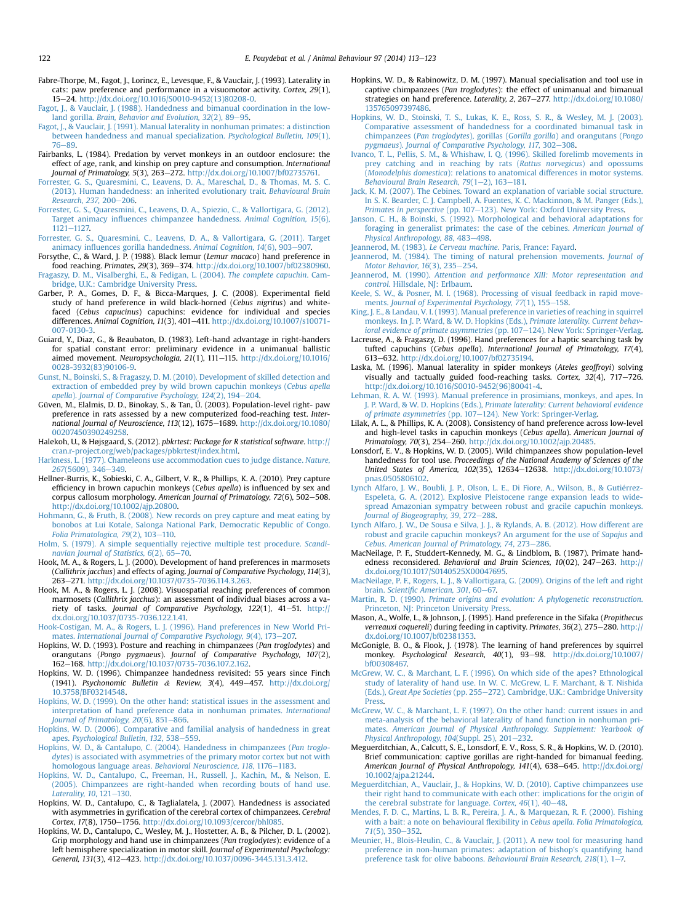- <span id="page-9-0"></span>Fabre-Thorpe, M., Fagot, J., Lorincz, E., Levesque, F., & Vauclair, J. (1993). Laterality in cats: paw preference and performance in a visuomotor activity. Cortex, 29(1), 15e24. [http://dx.doi.org/10.1016/S0010-9452\(13\)80208-0.](http://dx.doi.org/10.1016/S0010-9452(13)80208-0)
- [Fagot, J., & Vauclair, J. \(1988\). Handedness and bimanual coordination in the low](http://refhub.elsevier.com/S0003-3472(14)00344-3/sref27)land gorilla. Brain, Behavior and Evolution,  $32(2)$ ,  $89-95$ .
- [Fagot, J., & Vauclair, J. \(1991\). Manual laterality in nonhuman primates: a distinction](http://refhub.elsevier.com/S0003-3472(14)00344-3/sref28) [between handedness and manual specialization.](http://refhub.elsevier.com/S0003-3472(14)00344-3/sref28) Psychological Bulletin, 109(1), [76](http://refhub.elsevier.com/S0003-3472(14)00344-3/sref28)-89
- Fairbanks, L. (1984). Predation by vervet monkeys in an outdoor enclosure: the effect of age, rank, and kinship on prey capture and consumption. International
- Journal of Primatology, 5(3), 263–272. [http://dx.doi.org/10.1007/bf02735761.](http://dx.doi.org/10.1007/bf02735761)<br>[Forrester, G. S., Quaresmini, C., Leavens, D. A., Mareschal, D., & Thomas, M. S. C.](http://refhub.elsevier.com/S0003-3472(14)00344-3/sref30) [\(2013\). Human handedness: an inherited evolutionary trait.](http://refhub.elsevier.com/S0003-3472(14)00344-3/sref30) Behavioural Brain [Research, 237](http://refhub.elsevier.com/S0003-3472(14)00344-3/sref30), 200-[206.](http://refhub.elsevier.com/S0003-3472(14)00344-3/sref30)
- [Forrester, G. S., Quaresmini, C., Leavens, D. A., Spiezio, C., & Vallortigara, G. \(2012\).](http://refhub.elsevier.com/S0003-3472(14)00344-3/sref31) Target animacy infl[uences chimpanzee handedness.](http://refhub.elsevier.com/S0003-3472(14)00344-3/sref31) Animal Cognition, 15(6), [1121](http://refhub.elsevier.com/S0003-3472(14)00344-3/sref31)-1127
- [Forrester, G. S., Quaresmini, C., Leavens, D. A., & Vallortigara, G. \(2011\). Target](http://refhub.elsevier.com/S0003-3472(14)00344-3/sref32) animacy infl[uences gorilla handedness.](http://refhub.elsevier.com/S0003-3472(14)00344-3/sref32) Animal Cognition, 14(6), 903-[907.](http://refhub.elsevier.com/S0003-3472(14)00344-3/sref32)
- Forsythe, C., & Ward, J. P. (1988). Black lemur (Lemur macaco) hand preference in food reaching. Primates, 29(3), 369-374. <http://dx.doi.org/10.1007/bf02380960>. [Fragaszy, D. M., Visalberghi, E., & Fedigan, L. \(2004\).](http://refhub.elsevier.com/S0003-3472(14)00344-3/sref34) The complete capuchin. Cam-[bridge, U.K.: Cambridge University Press.](http://refhub.elsevier.com/S0003-3472(14)00344-3/sref34)
- Garber, P. A., Gomes, D. F., & Bicca-Marques, J. C. (2008). Experimental field study of hand preference in wild black-horned (Cebus nigritus) and whitefaced (Cebus capucinus) capuchins: evidence for individual and species differences. Animal Cognition, 11(3), 401-411. [http://dx.doi.org/10.1007/s10071-](http://dx.doi.org/10.1007/s10071-007-0130-3) [007-0130-3](http://dx.doi.org/10.1007/s10071-007-0130-3).
- Guiard, Y., Diaz, G., & Beaubaton, D. (1983). Left-hand advantage in right-handers for spatial constant error: preliminary evidence in a unimanual ballistic aimed movement. Neuropsychologia, 21(1), 111-115. [http://dx.doi.org/10.1016/](http://dx.doi.org/10.1016/0028-3932(83)90106-9) [0028-3932\(83\)90106-9](http://dx.doi.org/10.1016/0028-3932(83)90106-9).
- [Gunst, N., Boinski, S., & Fragaszy, D. M. \(2010\). Development of skilled detection and](http://refhub.elsevier.com/S0003-3472(14)00344-3/sref37) [extraction of embedded prey by wild brown capuchin monkeys \(](http://refhub.elsevier.com/S0003-3472(14)00344-3/sref37)Cebus apella apella). [Journal of Comparative Psychology, 124](http://refhub.elsevier.com/S0003-3472(14)00344-3/sref37)(2), 194-[204.](http://refhub.elsevier.com/S0003-3472(14)00344-3/sref37)
- Güven, M., Elalmis, D. D., Binokay, S., & Tan, Ü. (2003). Population-level right- paw preference in rats assessed by a new computerized food-reaching test. International Journal of Neuroscience, 113(12), 1675-1689. [http://dx.doi.org/10.1080/](http://dx.doi.org/10.1080/00207450390249258) [00207450390249258.](http://dx.doi.org/10.1080/00207450390249258)
- Halekoh, U., & Højsgaard, S. (2012). pbkrtest: Package for R statistical software. [http://](http://cran.r-project.org/web/packages/pbkrtest/index.html) [cran.r-project.org/web/packages/pbkrtest/index.html](http://cran.r-project.org/web/packages/pbkrtest/index.html).
- [Harkness, L. \(1977\). Chameleons use accommodation cues to judge distance.](http://refhub.elsevier.com/S0003-3472(14)00344-3/sref40) Nature, 267[\(5609\), 346](http://refhub.elsevier.com/S0003-3472(14)00344-3/sref40)-[349](http://refhub.elsevier.com/S0003-3472(14)00344-3/sref40).
- Hellner-Burris, K., Sobieski, C. A., Gilbert, V. R., & Phillips, K. A. (2010). Prey capture efficiency in brown capuchin monkeys (Cebus apella) is influenced by sex and corpus callosum morphology. American Journal of Primatology, 72(6), 502-508. <http://dx.doi.org/10.1002/ajp.20800>.
- [Hohmann, G., & Fruth, B. \(2008\). New records on prey capture and meat eating by](http://refhub.elsevier.com/S0003-3472(14)00344-3/sref42) [bonobos at Lui Kotale, Salonga National Park, Democratic Republic of Congo.](http://refhub.elsevier.com/S0003-3472(14)00344-3/sref42) Folia Primatologica,  $79(2)$ ,  $103-110$ .
- [Holm, S. \(1979\). A simple sequentially rejective multiple test procedure.](http://refhub.elsevier.com/S0003-3472(14)00344-3/sref43) Scandinavian Journal of Statistics,  $6(2)$ ,  $65-70$ .
- Hook, M. A., & Rogers, L. J. (2000). Development of hand preferences in marmosets (Callithrix jacchus) and effects of aging. Journal of Comparative Psychology, 114(3), 263e271. [http://dx.doi.org/10.1037/0735-7036.114.3.263.](http://dx.doi.org/10.1037/0735-7036.114.3.263)
- Hook, M. A., & Rogers, L. J. (2008). Visuospatial reaching preferences of common marmosets (Callithrix jacchus): an assessment of individual biases across a variety of tasks. Journal of Comparative Psychology, 122(1), 41-51. [http://](http://dx.doi.org/10.1037/0735-7036.122.1.41) [dx.doi.org/10.1037/0735-7036.122.1.41.](http://dx.doi.org/10.1037/0735-7036.122.1.41)
- [Hook-Costigan, M. A., & Rogers, L. J. \(1996\). Hand preferences in New World Pri-](http://refhub.elsevier.com/S0003-3472(14)00344-3/sref46)mates. [International Journal of Comparative Psychology, 9](http://refhub.elsevier.com/S0003-3472(14)00344-3/sref46)(4), 173-[207.](http://refhub.elsevier.com/S0003-3472(14)00344-3/sref46)
- Hopkins, W. D. (1993). Posture and reaching in chimpanzees (Pan troglodytes) and orangutans (Pongo pygmaeus). Journal of Comparative Psychology, 107(2), 162e168. [http://dx.doi.org/10.1037/0735-7036.107.2.162.](http://dx.doi.org/10.1037/0735-7036.107.2.162)
- Hopkins, W. D. (1996). Chimpanzee handedness revisited: 55 years since Finch (1941). Psychonomic Bulletin & Review, 3(4), 449-457. [http://dx.doi.org/](http://dx.doi.org/10.3758/BF03214548) [10.3758/BF03214548.](http://dx.doi.org/10.3758/BF03214548)
- [Hopkins, W. D. \(1999\). On the other hand: statistical issues in the assessment and](http://refhub.elsevier.com/S0003-3472(14)00344-3/sref49) [interpretation of hand preference data in nonhuman primates.](http://refhub.elsevier.com/S0003-3472(14)00344-3/sref49) International Journal of Primatology,  $20(6)$ , 851-[866.](http://refhub.elsevier.com/S0003-3472(14)00344-3/sref49)
- [Hopkins, W. D. \(2006\). Comparative and familial analysis of handedness in great](http://refhub.elsevier.com/S0003-3472(14)00344-3/sref50) apes. [Psychological Bulletin, 132](http://refhub.elsevier.com/S0003-3472(14)00344-3/sref50), 538-[559.](http://refhub.elsevier.com/S0003-3472(14)00344-3/sref50)
- [Hopkins, W. D., & Cantalupo, C. \(2004\). Handedness in chimpanzees \(](http://refhub.elsevier.com/S0003-3472(14)00344-3/sref51)Pan troglodytes[\) is associated with asymmetries of the primary motor cortex but not with](http://refhub.elsevier.com/S0003-3472(14)00344-3/sref51) [homologous language areas.](http://refhub.elsevier.com/S0003-3472(14)00344-3/sref51) Behavioral Neuroscience, 118, 1176-[1183.](http://refhub.elsevier.com/S0003-3472(14)00344-3/sref51)
- [Hopkins, W. D., Cantalupo, C., Freeman, H., Russell, J., Kachin, M., & Nelson, E.](http://refhub.elsevier.com/S0003-3472(14)00344-3/sref52) [\(2005\). Chimpanzees are right-handed when recording bouts of hand use.](http://refhub.elsevier.com/S0003-3472(14)00344-3/sref52) [Laterality, 10](http://refhub.elsevier.com/S0003-3472(14)00344-3/sref52), 121-[130](http://refhub.elsevier.com/S0003-3472(14)00344-3/sref52).
- Hopkins, W. D., Cantalupo, C., & Taglialatela, J. (2007). Handedness is associated with asymmetries in gyrification of the cerebral cortex of chimpanzees. Cerebral Cortex, 17(8), 1750-1756. <http://dx.doi.org/10.1093/cercor/bhl085>.
- Hopkins, W. D., Cantalupo, C., Wesley, M. J., Hostetter, A. B., & Pilcher, D. L. (2002). Grip morphology and hand use in chimpanzees (Pan troglodytes): evidence of a left hemisphere specialization in motor skill. Journal of Experimental Psychology: General, 131(3), 412-423. <http://dx.doi.org/10.1037/0096-3445.131.3.412>.
- Hopkins, W. D., & Rabinowitz, D. M. (1997). Manual specialisation and tool use in captive chimpanzees (Pan troglodytes): the effect of unimanual and bimanual strategies on hand preference. Laterality, 2, 267-277. [http://dx.doi.org/10.1080/](http://dx.doi.org/10.1080/135765097397486) [135765097397486.](http://dx.doi.org/10.1080/135765097397486)
- [Hopkins, W. D., Stoinski, T. S., Lukas, K. E., Ross, S. R., & Wesley, M. J. \(2003\).](http://refhub.elsevier.com/S0003-3472(14)00344-3/sref57) [Comparative assessment of handedness for a coordinated bimanual task in](http://refhub.elsevier.com/S0003-3472(14)00344-3/sref57) chimpanzees (Pan troglodytes), gorillas (Gorilla gorilla[\) and orangutans \(](http://refhub.elsevier.com/S0003-3472(14)00344-3/sref57)Pongo pygmaeus). [Journal of Comparative Psychology, 117](http://refhub.elsevier.com/S0003-3472(14)00344-3/sref57), 302-[308](http://refhub.elsevier.com/S0003-3472(14)00344-3/sref57).
- [Ivanco, T. L., Pellis, S. M., & Whishaw, I. Q. \(1996\). Skilled forelimb movements in](http://refhub.elsevier.com/S0003-3472(14)00344-3/sref58) [prey catching and in reaching by rats \(](http://refhub.elsevier.com/S0003-3472(14)00344-3/sref58)Rattus norvegicus) and opossums (Monodelphis domestica[\): relations to anatomical differences in motor systems.](http://refhub.elsevier.com/S0003-3472(14)00344-3/sref58) Behavioural Brain Research,  $79(1-2)$ ,  $163-181$ .
- [Jack, K. M. \(2007\). The Cebines. Toward an explanation of variable social structure.](http://refhub.elsevier.com/S0003-3472(14)00344-3/sref59) [In S. K. Bearder, C. J. Campbell, A. Fuentes, K. C. Mackinnon, & M. Panger \(Eds.\),](http://refhub.elsevier.com/S0003-3472(14)00344-3/sref59) [Primates in perspective](http://refhub.elsevier.com/S0003-3472(14)00344-3/sref59) (pp. 107–[123\). New York: Oxford University Press](http://refhub.elsevier.com/S0003-3472(14)00344-3/sref59).
- [Janson, C. H., & Boinski, S. \(1992\). Morphological and behavioral adaptations for](http://refhub.elsevier.com/S0003-3472(14)00344-3/sref60) [foraging in generalist primates: the case of the cebines.](http://refhub.elsevier.com/S0003-3472(14)00344-3/sref60) American Journal of [Physical Anthropology, 88](http://refhub.elsevier.com/S0003-3472(14)00344-3/sref60), 483-[498.](http://refhub.elsevier.com/S0003-3472(14)00344-3/sref60)
- Jeannerod, M. (1983). Le Cerveau machine[. Paris, France: Fayard](http://refhub.elsevier.com/S0003-3472(14)00344-3/sref61).
- [Jeannerod, M. \(1984\). The timing of natural prehension movements.](http://refhub.elsevier.com/S0003-3472(14)00344-3/sref62) Journal of [Motor Behavior, 16](http://refhub.elsevier.com/S0003-3472(14)00344-3/sref62)(3), 235-[254](http://refhub.elsevier.com/S0003-3472(14)00344-3/sref62).
- Jeannerod, M. (1990). [Attention and performance XIII: Motor representation and](http://refhub.elsevier.com/S0003-3472(14)00344-3/sref63) control[. Hillsdale, NJ: Erlbaum.](http://refhub.elsevier.com/S0003-3472(14)00344-3/sref63)
- [Keele, S. W., & Posner, M. I. \(1968\). Processing of visual feedback in rapid move-](http://refhub.elsevier.com/S0003-3472(14)00344-3/sref64)ments. [Journal of Experimental Psychology, 77](http://refhub.elsevier.com/S0003-3472(14)00344-3/sref64)(1), 155-[158.](http://refhub.elsevier.com/S0003-3472(14)00344-3/sref64)
- [King, J. E., & Landau, V. I. \(1993\). Manual preference in varieties of reaching in squirrel](http://refhub.elsevier.com/S0003-3472(14)00344-3/sref65) [monkeys. In J. P. Ward, & W. D. Hopkins \(Eds.\),](http://refhub.elsevier.com/S0003-3472(14)00344-3/sref65) *Primate laterality. Current behav-*<br>[ioral evidence of primate asymmetries](http://refhub.elsevier.com/S0003-3472(14)00344-3/sref65) (pp. 107–[124\). New York: Springer-Verlag](http://refhub.elsevier.com/S0003-3472(14)00344-3/sref65).
- Lacreuse, A., & Fragaszy, D. (1996). Hand preferences for a haptic searching task by tufted capuchins (Cebus apella). International Journal of Primatology, 17(4), 613e632. <http://dx.doi.org/10.1007/bf02735194>.
- Laska, M. (1996). Manual laterality in spider monkeys (Ateles geoffroyi) solving visually and tactually guided food-reaching tasks. Cortex,  $32(4)$ ,  $717-726$ . [http://dx.doi.org/10.1016/S0010-9452\(96\)80041-4](http://dx.doi.org/10.1016/S0010-9452(96)80041-4).
- [Lehman, R. A. W. \(1993\). Manual preference in prosimians, monkeys, and apes. In](http://refhub.elsevier.com/S0003-3472(14)00344-3/sref68) J. P. Ward, & W. D. Hopkins (Eds.), [Primate laterality: Current behavioral evidence](http://refhub.elsevier.com/S0003-3472(14)00344-3/sref68) [of primate asymmetries](http://refhub.elsevier.com/S0003-3472(14)00344-3/sref68) (pp. 107-[124\). New York: Springer-Verlag](http://refhub.elsevier.com/S0003-3472(14)00344-3/sref68).
- Lilak, A. L., & Phillips, K. A. (2008). Consistency of hand preference across low-level and high-level tasks in capuchin monkeys (Cebus apella). American Journal of Primatology, 70(3), 254-260. [http://dx.doi.org/10.1002/ajp.20485.](http://dx.doi.org/10.1002/ajp.20485)
- Lonsdorf, E. V., & Hopkins, W. D. (2005). Wild chimpanzees show population-level handedness for tool use. Proceedings of the National Academy of Sciences of the United States of America, 102(35), 12634-12638. [http://dx.doi.org/10.1073/](http://dx.doi.org/10.1073/pnas.0505806102) [pnas.0505806102.](http://dx.doi.org/10.1073/pnas.0505806102)
- [Lynch Alfaro, J. W., Boubli, J. P., Olson, L. E., Di Fiore, A., Wilson, B., & Gutierrez-](http://refhub.elsevier.com/S0003-3472(14)00344-3/sref71) [Espeleta, G. A. \(2012\). Explosive Pleistocene range expansion leads to wide](http://refhub.elsevier.com/S0003-3472(14)00344-3/sref71)[spread Amazonian sympatry between robust and gracile capuchin monkeys.](http://refhub.elsevier.com/S0003-3472(14)00344-3/sref71) [Journal of Biogeography, 39](http://refhub.elsevier.com/S0003-3472(14)00344-3/sref71), 272-[288.](http://refhub.elsevier.com/S0003-3472(14)00344-3/sref71)
- [Lynch Alfaro, J. W., De Sousa e Silva, J. J., & Rylands, A. B. \(2012\). How different are](http://refhub.elsevier.com/S0003-3472(14)00344-3/sref72) [robust and gracile capuchin monkeys? An argument for the use of](http://refhub.elsevier.com/S0003-3472(14)00344-3/sref72) Sapajus and Cebus. [American Journal of Primatology, 74](http://refhub.elsevier.com/S0003-3472(14)00344-3/sref72), 273-[286](http://refhub.elsevier.com/S0003-3472(14)00344-3/sref72).
- MacNeilage, P. F., Studdert-Kennedy, M. G., & Lindblom, B. (1987). Primate handedness reconsidered. Behavioral and Brain Sciences,  $10(02)$ ,  $247-263$ . [http://](http://dx.doi.org/10.1017/S0140525X00047695) [dx.doi.org/10.1017/S0140525X00047695.](http://dx.doi.org/10.1017/S0140525X00047695)
- [MacNeilage, P. F., Rogers, L. J., & Vallortigara, G. \(2009\). Origins of the left and right](http://refhub.elsevier.com/S0003-3472(14)00344-3/sref74) brain. Scientifi[c American, 301](http://refhub.elsevier.com/S0003-3472(14)00344-3/sref74), 60-[67.](http://refhub.elsevier.com/S0003-3472(14)00344-3/sref74)
- Martin, R. D. (1990). [Primate origins and evolution: A phylogenetic reconstruction](http://refhub.elsevier.com/S0003-3472(14)00344-3/sref75). [Princeton, NJ: Princeton University Press.](http://refhub.elsevier.com/S0003-3472(14)00344-3/sref75)
- Mason, A., Wolfe, L., & Johnson, J. (1995). Hand preference in the Sifaka (Propithecus verreauxi coquereli) during feeding in captivity. Primates, 36(2), 275-280. [http://](http://dx.doi.org/10.1007/bf02381353) [dx.doi.org/10.1007/bf02381353.](http://dx.doi.org/10.1007/bf02381353)
- McGonigle, B. O., & Flook, J. (1978). The learning of hand preferences by squirrel monkey. Psychological Research, 40(1), 93-98. [http://dx.doi.org/10.1007/](http://dx.doi.org/10.1007/bf00308467) [bf00308467.](http://dx.doi.org/10.1007/bf00308467)
- [McGrew, W. C., & Marchant, L. F. \(1996\). On which side of the apes? Ethnological](http://refhub.elsevier.com/S0003-3472(14)00344-3/sref78) [study of laterality of hand use. In W. C. McGrew, L. F. Marchant, & T. Nishida](http://refhub.elsevier.com/S0003-3472(14)00344-3/sref78) (Eds.), [Great Ape Societies](http://refhub.elsevier.com/S0003-3472(14)00344-3/sref78) (pp. 255–[272\). Cambridge, U.K.: Cambridge University](http://refhub.elsevier.com/S0003-3472(14)00344-3/sref78) [Press](http://refhub.elsevier.com/S0003-3472(14)00344-3/sref78).
- [McGrew, W. C., & Marchant, L. F. \(1997\). On the other hand: current issues in and](http://refhub.elsevier.com/S0003-3472(14)00344-3/sref79) [meta-analysis of the behavioral laterality of hand function in nonhuman pri](http://refhub.elsevier.com/S0003-3472(14)00344-3/sref79)mates. [American Journal of Physical Anthropology. Supplement: Yearbook of](http://refhub.elsevier.com/S0003-3472(14)00344-3/sref79) [Physical Anthropology, 104](http://refhub.elsevier.com/S0003-3472(14)00344-3/sref79)(Suppl. 25), 201-[232.](http://refhub.elsevier.com/S0003-3472(14)00344-3/sref79)
- Meguerditchian, A., Calcutt, S. E., Lonsdorf, E. V., Ross, S. R., & Hopkins, W. D. (2010). Brief communication: captive gorillas are right-handed for bimanual feeding. American Journal of Physical Anthropology, 141(4), 638-645. [http://dx.doi.org/](http://dx.doi.org/10.1002/ajpa.21244) [10.1002/ajpa.21244.](http://dx.doi.org/10.1002/ajpa.21244)
- [Meguerditchian, A., Vauclair, J., & Hopkins, W. D. \(2010\). Captive chimpanzees use](http://refhub.elsevier.com/S0003-3472(14)00344-3/sref81) [their right hand to communicate with each other: implications for the origin of](http://refhub.elsevier.com/S0003-3472(14)00344-3/sref81) [the cerebral substrate for language.](http://refhub.elsevier.com/S0003-3472(14)00344-3/sref81) Cortex,  $46(1)$ ,  $40-48$  $40-48$ .
- [Mendes, F. D. C., Martins, L. B. R., Pereira, J. A., & Marquezan, R. F. \(2000\). Fishing](http://refhub.elsevier.com/S0003-3472(14)00344-3/sref82) [with a bait: a note on behavioural](http://refhub.elsevier.com/S0003-3472(14)00344-3/sref82) flexibility in Cebus apella. Folia Primatologica, 71[\(5\), 350](http://refhub.elsevier.com/S0003-3472(14)00344-3/sref82)-[352](http://refhub.elsevier.com/S0003-3472(14)00344-3/sref82).
- [Meunier, H., Blois-Heulin, C., & Vauclair, J. \(2011\). A new tool for measuring hand](http://refhub.elsevier.com/S0003-3472(14)00344-3/sref83) [preference in non-human primates: adaptation of bishop's quantifying hand](http://refhub.elsevier.com/S0003-3472(14)00344-3/sref83) [preference task for olive baboons.](http://refhub.elsevier.com/S0003-3472(14)00344-3/sref83) Behavioural Brain Research, 218(1), 1-[7.](http://refhub.elsevier.com/S0003-3472(14)00344-3/sref83)